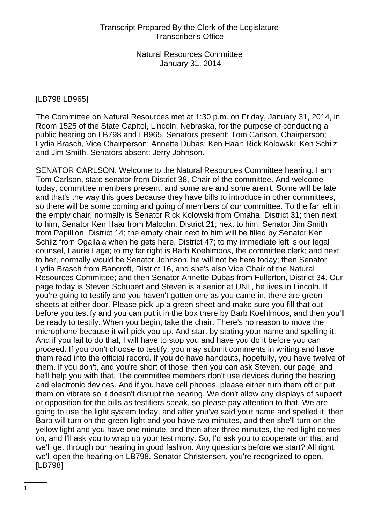#### [LB798 LB965]

The Committee on Natural Resources met at 1:30 p.m. on Friday, January 31, 2014, in Room 1525 of the State Capitol, Lincoln, Nebraska, for the purpose of conducting a public hearing on LB798 and LB965. Senators present: Tom Carlson, Chairperson; Lydia Brasch, Vice Chairperson; Annette Dubas; Ken Haar; Rick Kolowski; Ken Schilz; and Jim Smith. Senators absent: Jerry Johnson.

SENATOR CARLSON: Welcome to the Natural Resources Committee hearing. I am Tom Carlson, state senator from District 38, Chair of the committee. And welcome today, committee members present, and some are and some aren't. Some will be late and that's the way this goes because they have bills to introduce in other committees, so there will be some coming and going of members of our committee. To the far left in the empty chair, normally is Senator Rick Kolowski from Omaha, District 31; then next to him, Senator Ken Haar from Malcolm, District 21; next to him, Senator Jim Smith from Papillion, District 14; the empty chair next to him will be filled by Senator Ken Schilz from Ogallala when he gets here, District 47; to my immediate left is our legal counsel, Laurie Lage; to my far right is Barb Koehlmoos, the committee clerk; and next to her, normally would be Senator Johnson, he will not be here today; then Senator Lydia Brasch from Bancroft, District 16, and she's also Vice Chair of the Natural Resources Committee; and then Senator Annette Dubas from Fullerton, District 34. Our page today is Steven Schubert and Steven is a senior at UNL, he lives in Lincoln. If you're going to testify and you haven't gotten one as you came in, there are green sheets at either door. Please pick up a green sheet and make sure you fill that out before you testify and you can put it in the box there by Barb Koehlmoos, and then you'll be ready to testify. When you begin, take the chair. There's no reason to move the microphone because it will pick you up. And start by stating your name and spelling it. And if you fail to do that, I will have to stop you and have you do it before you can proceed. If you don't choose to testify, you may submit comments in writing and have them read into the official record. If you do have handouts, hopefully, you have twelve of them. If you don't, and you're short of those, then you can ask Steven, our page, and he'll help you with that. The committee members don't use devices during the hearing and electronic devices. And if you have cell phones, please either turn them off or put them on vibrate so it doesn't disrupt the hearing. We don't allow any displays of support or opposition for the bills as testifiers speak, so please pay attention to that. We are going to use the light system today, and after you've said your name and spelled it, then Barb will turn on the green light and you have two minutes, and then she'll turn on the yellow light and you have one minute, and then after three minutes, the red light comes on, and I'll ask you to wrap up your testimony. So, I'd ask you to cooperate on that and we'll get through our hearing in good fashion. Any questions before we start? All right, we'll open the hearing on LB798. Senator Christensen, you're recognized to open. [LB798]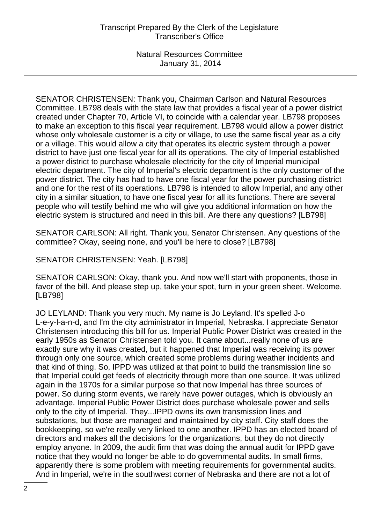SENATOR CHRISTENSEN: Thank you, Chairman Carlson and Natural Resources Committee. LB798 deals with the state law that provides a fiscal year of a power district created under Chapter 70, Article VI, to coincide with a calendar year. LB798 proposes to make an exception to this fiscal year requirement. LB798 would allow a power district whose only wholesale customer is a city or village, to use the same fiscal year as a city or a village. This would allow a city that operates its electric system through a power district to have just one fiscal year for all its operations. The city of Imperial established a power district to purchase wholesale electricity for the city of Imperial municipal electric department. The city of Imperial's electric department is the only customer of the power district. The city has had to have one fiscal year for the power purchasing district and one for the rest of its operations. LB798 is intended to allow Imperial, and any other city in a similar situation, to have one fiscal year for all its functions. There are several people who will testify behind me who will give you additional information on how the electric system is structured and need in this bill. Are there any questions? [LB798]

SENATOR CARLSON: All right. Thank you, Senator Christensen. Any questions of the committee? Okay, seeing none, and you'll be here to close? [LB798]

SENATOR CHRISTENSEN: Yeah. [LB798]

SENATOR CARLSON: Okay, thank you. And now we'll start with proponents, those in favor of the bill. And please step up, take your spot, turn in your green sheet. Welcome. [LB798]

JO LEYLAND: Thank you very much. My name is Jo Leyland. It's spelled J-o L-e-y-l-a-n-d, and I'm the city administrator in Imperial, Nebraska. I appreciate Senator Christensen introducing this bill for us. Imperial Public Power District was created in the early 1950s as Senator Christensen told you. It came about...really none of us are exactly sure why it was created, but it happened that Imperial was receiving its power through only one source, which created some problems during weather incidents and that kind of thing. So, IPPD was utilized at that point to build the transmission line so that Imperial could get feeds of electricity through more than one source. It was utilized again in the 1970s for a similar purpose so that now Imperial has three sources of power. So during storm events, we rarely have power outages, which is obviously an advantage. Imperial Public Power District does purchase wholesale power and sells only to the city of Imperial. They...IPPD owns its own transmission lines and substations, but those are managed and maintained by city staff. City staff does the bookkeeping, so we're really very linked to one another. IPPD has an elected board of directors and makes all the decisions for the organizations, but they do not directly employ anyone. In 2009, the audit firm that was doing the annual audit for IPPD gave notice that they would no longer be able to do governmental audits. In small firms, apparently there is some problem with meeting requirements for governmental audits. And in Imperial, we're in the southwest corner of Nebraska and there are not a lot of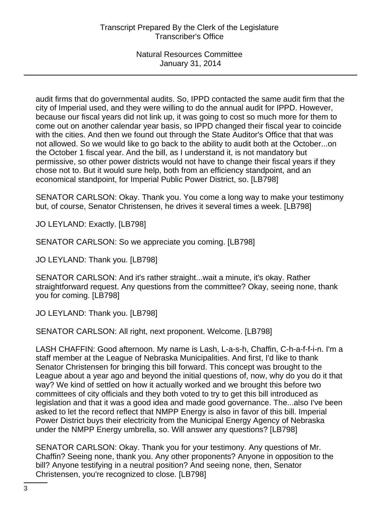audit firms that do governmental audits. So, IPPD contacted the same audit firm that the city of Imperial used, and they were willing to do the annual audit for IPPD. However, because our fiscal years did not link up, it was going to cost so much more for them to come out on another calendar year basis, so IPPD changed their fiscal year to coincide with the cities. And then we found out through the State Auditor's Office that that was not allowed. So we would like to go back to the ability to audit both at the October...on the October 1 fiscal year. And the bill, as I understand it, is not mandatory but permissive, so other power districts would not have to change their fiscal years if they chose not to. But it would sure help, both from an efficiency standpoint, and an economical standpoint, for Imperial Public Power District, so. [LB798]

SENATOR CARLSON: Okay. Thank you. You come a long way to make your testimony but, of course, Senator Christensen, he drives it several times a week. [LB798]

JO LEYLAND: Exactly. [LB798]

SENATOR CARLSON: So we appreciate you coming. [LB798]

JO LEYLAND: Thank you. [LB798]

SENATOR CARLSON: And it's rather straight...wait a minute, it's okay. Rather straightforward request. Any questions from the committee? Okay, seeing none, thank you for coming. [LB798]

JO LEYLAND: Thank you. [LB798]

SENATOR CARLSON: All right, next proponent. Welcome. [LB798]

LASH CHAFFIN: Good afternoon. My name is Lash, L-a-s-h, Chaffin, C-h-a-f-f-i-n. I'm a staff member at the League of Nebraska Municipalities. And first, I'd like to thank Senator Christensen for bringing this bill forward. This concept was brought to the League about a year ago and beyond the initial questions of, now, why do you do it that way? We kind of settled on how it actually worked and we brought this before two committees of city officials and they both voted to try to get this bill introduced as legislation and that it was a good idea and made good governance. The...also I've been asked to let the record reflect that NMPP Energy is also in favor of this bill. Imperial Power District buys their electricity from the Municipal Energy Agency of Nebraska under the NMPP Energy umbrella, so. Will answer any questions? [LB798]

SENATOR CARLSON: Okay. Thank you for your testimony. Any questions of Mr. Chaffin? Seeing none, thank you. Any other proponents? Anyone in opposition to the bill? Anyone testifying in a neutral position? And seeing none, then, Senator Christensen, you're recognized to close. [LB798]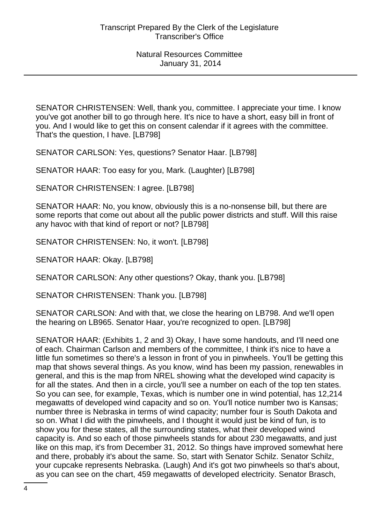SENATOR CHRISTENSEN: Well, thank you, committee. I appreciate your time. I know you've got another bill to go through here. It's nice to have a short, easy bill in front of you. And I would like to get this on consent calendar if it agrees with the committee. That's the question, I have. [LB798]

SENATOR CARLSON: Yes, questions? Senator Haar. [LB798]

SENATOR HAAR: Too easy for you, Mark. (Laughter) [LB798]

SENATOR CHRISTENSEN: I agree. [LB798]

SENATOR HAAR: No, you know, obviously this is a no-nonsense bill, but there are some reports that come out about all the public power districts and stuff. Will this raise any havoc with that kind of report or not? [LB798]

SENATOR CHRISTENSEN: No, it won't. [LB798]

SENATOR HAAR: Okay. [LB798]

SENATOR CARLSON: Any other questions? Okay, thank you. [LB798]

SENATOR CHRISTENSEN: Thank you. [LB798]

SENATOR CARLSON: And with that, we close the hearing on LB798. And we'll open the hearing on LB965. Senator Haar, you're recognized to open. [LB798]

SENATOR HAAR: (Exhibits 1, 2 and 3) Okay, I have some handouts, and I'll need one of each. Chairman Carlson and members of the committee, I think it's nice to have a little fun sometimes so there's a lesson in front of you in pinwheels. You'll be getting this map that shows several things. As you know, wind has been my passion, renewables in general, and this is the map from NREL showing what the developed wind capacity is for all the states. And then in a circle, you'll see a number on each of the top ten states. So you can see, for example, Texas, which is number one in wind potential, has 12,214 megawatts of developed wind capacity and so on. You'll notice number two is Kansas; number three is Nebraska in terms of wind capacity; number four is South Dakota and so on. What I did with the pinwheels, and I thought it would just be kind of fun, is to show you for these states, all the surrounding states, what their developed wind capacity is. And so each of those pinwheels stands for about 230 megawatts, and just like on this map, it's from December 31, 2012. So things have improved somewhat here and there, probably it's about the same. So, start with Senator Schilz. Senator Schilz, your cupcake represents Nebraska. (Laugh) And it's got two pinwheels so that's about, as you can see on the chart, 459 megawatts of developed electricity. Senator Brasch,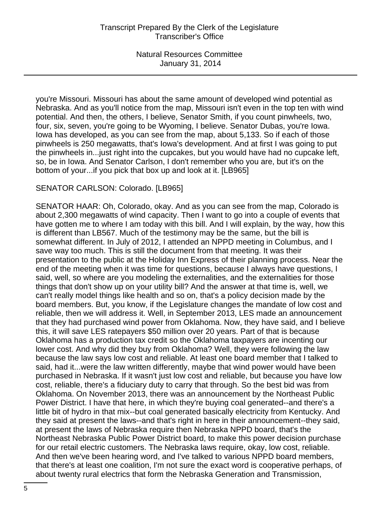you're Missouri. Missouri has about the same amount of developed wind potential as Nebraska. And as you'll notice from the map, Missouri isn't even in the top ten with wind potential. And then, the others, I believe, Senator Smith, if you count pinwheels, two, four, six, seven, you're going to be Wyoming, I believe. Senator Dubas, you're Iowa. Iowa has developed, as you can see from the map, about 5,133. So if each of those pinwheels is 250 megawatts, that's Iowa's development. And at first I was going to put the pinwheels in...just right into the cupcakes, but you would have had no cupcake left, so, be in Iowa. And Senator Carlson, I don't remember who you are, but it's on the bottom of your...if you pick that box up and look at it. [LB965]

# SENATOR CARLSON: Colorado. [LB965]

SENATOR HAAR: Oh, Colorado, okay. And as you can see from the map, Colorado is about 2,300 megawatts of wind capacity. Then I want to go into a couple of events that have gotten me to where I am today with this bill. And I will explain, by the way, how this is different than LB567. Much of the testimony may be the same, but the bill is somewhat different. In July of 2012, I attended an NPPD meeting in Columbus, and I save way too much. This is still the document from that meeting. It was their presentation to the public at the Holiday Inn Express of their planning process. Near the end of the meeting when it was time for questions, because I always have questions, I said, well, so where are you modeling the externalities, and the externalities for those things that don't show up on your utility bill? And the answer at that time is, well, we can't really model things like health and so on, that's a policy decision made by the board members. But, you know, if the Legislature changes the mandate of low cost and reliable, then we will address it. Well, in September 2013, LES made an announcement that they had purchased wind power from Oklahoma. Now, they have said, and I believe this, it will save LES ratepayers \$50 million over 20 years. Part of that is because Oklahoma has a production tax credit so the Oklahoma taxpayers are incenting our lower cost. And why did they buy from Oklahoma? Well, they were following the law because the law says low cost and reliable. At least one board member that I talked to said, had it...were the law written differently, maybe that wind power would have been purchased in Nebraska. If it wasn't just low cost and reliable, but because you have low cost, reliable, there's a fiduciary duty to carry that through. So the best bid was from Oklahoma. On November 2013, there was an announcement by the Northeast Public Power District. I have that here, in which they're buying coal generated--and there's a little bit of hydro in that mix--but coal generated basically electricity from Kentucky. And they said at present the laws--and that's right in here in their announcement--they said, at present the laws of Nebraska require then Nebraska NPPD board, that's the Northeast Nebraska Public Power District board, to make this power decision purchase for our retail electric customers. The Nebraska laws require, okay, low cost, reliable. And then we've been hearing word, and I've talked to various NPPD board members, that there's at least one coalition, I'm not sure the exact word is cooperative perhaps, of about twenty rural electrics that form the Nebraska Generation and Transmission,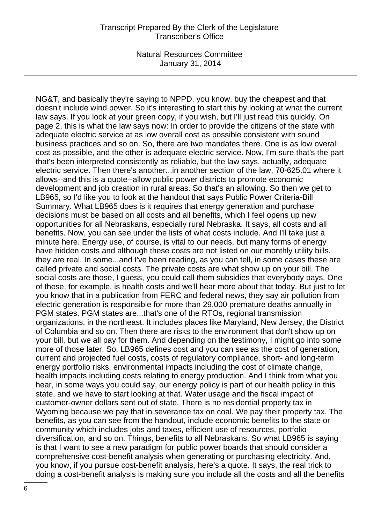NG&T, and basically they're saying to NPPD, you know, buy the cheapest and that doesn't include wind power. So it's interesting to start this by looking at what the current law says. If you look at your green copy, if you wish, but I'll just read this quickly. On page 2, this is what the law says now: In order to provide the citizens of the state with adequate electric service at as low overall cost as possible consistent with sound business practices and so on. So, there are two mandates there. One is as low overall cost as possible, and the other is adequate electric service. Now, I'm sure that's the part that's been interpreted consistently as reliable, but the law says, actually, adequate electric service. Then there's another...in another section of the law, 70-625.01 where it allows--and this is a quote--allow public power districts to promote economic development and job creation in rural areas. So that's an allowing. So then we get to LB965, so I'd like you to look at the handout that says Public Power Criteria-Bill Summary. What LB965 does is it requires that energy generation and purchase decisions must be based on all costs and all benefits, which I feel opens up new opportunities for all Nebraskans, especially rural Nebraska. It says, all costs and all benefits. Now, you can see under the lists of what costs include. And I'll take just a minute here. Energy use, of course, is vital to our needs, but many forms of energy have hidden costs and although these costs are not listed on our monthly utility bills, they are real. In some...and I've been reading, as you can tell, in some cases these are called private and social costs. The private costs are what show up on your bill. The social costs are those, I guess, you could call them subsidies that everybody pays. One of these, for example, is health costs and we'll hear more about that today. But just to let you know that in a publication from FERC and federal news, they say air pollution from electric generation is responsible for more than 29,000 premature deaths annually in PGM states. PGM states are...that's one of the RTOs, regional transmission organizations, in the northeast. It includes places like Maryland, New Jersey, the District of Columbia and so on. Then there are risks to the environment that don't show up on your bill, but we all pay for them. And depending on the testimony, I might go into some more of those later. So, LB965 defines cost and you can see as the cost of generation, current and projected fuel costs, costs of regulatory compliance, short- and long-term energy portfolio risks, environmental impacts including the cost of climate change, health impacts including costs relating to energy production. And I think from what you hear, in some ways you could say, our energy policy is part of our health policy in this state, and we have to start looking at that. Water usage and the fiscal impact of customer-owner dollars sent out of state. There is no residential property tax in Wyoming because we pay that in severance tax on coal. We pay their property tax. The benefits, as you can see from the handout, include economic benefits to the state or community which includes jobs and taxes, efficient use of resources, portfolio diversification, and so on. Things, benefits to all Nebraskans. So what LB965 is saying is that I want to see a new paradigm for public power boards that should consider a comprehensive cost-benefit analysis when generating or purchasing electricity. And, you know, if you pursue cost-benefit analysis, here's a quote. It says, the real trick to doing a cost-benefit analysis is making sure you include all the costs and all the benefits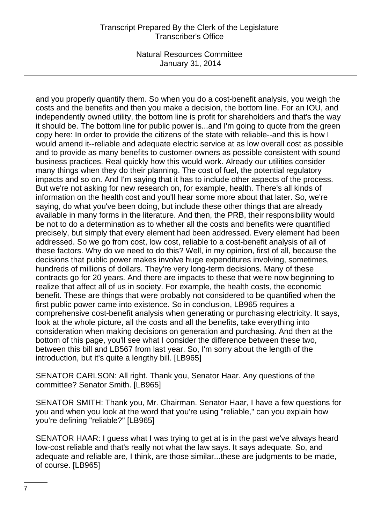# Transcript Prepared By the Clerk of the Legislature Transcriber's Office

Natural Resources Committee January 31, 2014

and you properly quantify them. So when you do a cost-benefit analysis, you weigh the costs and the benefits and then you make a decision, the bottom line. For an IOU, and independently owned utility, the bottom line is profit for shareholders and that's the way it should be. The bottom line for public power is...and I'm going to quote from the green copy here: In order to provide the citizens of the state with reliable--and this is how I would amend it--reliable and adequate electric service at as low overall cost as possible and to provide as many benefits to customer-owners as possible consistent with sound business practices. Real quickly how this would work. Already our utilities consider many things when they do their planning. The cost of fuel, the potential regulatory impacts and so on. And I'm saying that it has to include other aspects of the process. But we're not asking for new research on, for example, health. There's all kinds of information on the health cost and you'll hear some more about that later. So, we're saying, do what you've been doing, but include these other things that are already available in many forms in the literature. And then, the PRB, their responsibility would be not to do a determination as to whether all the costs and benefits were quantified precisely, but simply that every element had been addressed. Every element had been addressed. So we go from cost, low cost, reliable to a cost-benefit analysis of all of these factors. Why do we need to do this? Well, in my opinion, first of all, because the decisions that public power makes involve huge expenditures involving, sometimes, hundreds of millions of dollars. They're very long-term decisions. Many of these contracts go for 20 years. And there are impacts to these that we're now beginning to realize that affect all of us in society. For example, the health costs, the economic benefit. These are things that were probably not considered to be quantified when the first public power came into existence. So in conclusion, LB965 requires a comprehensive cost-benefit analysis when generating or purchasing electricity. It says, look at the whole picture, all the costs and all the benefits, take everything into consideration when making decisions on generation and purchasing. And then at the bottom of this page, you'll see what I consider the difference between these two, between this bill and LB567 from last year. So, I'm sorry about the length of the introduction, but it's quite a lengthy bill. [LB965]

SENATOR CARLSON: All right. Thank you, Senator Haar. Any questions of the committee? Senator Smith. [LB965]

SENATOR SMITH: Thank you, Mr. Chairman. Senator Haar, I have a few questions for you and when you look at the word that you're using "reliable," can you explain how you're defining "reliable?" [LB965]

SENATOR HAAR: I guess what I was trying to get at is in the past we've always heard low-cost reliable and that's really not what the law says. It says adequate. So, and adequate and reliable are, I think, are those similar...these are judgments to be made, of course. [LB965]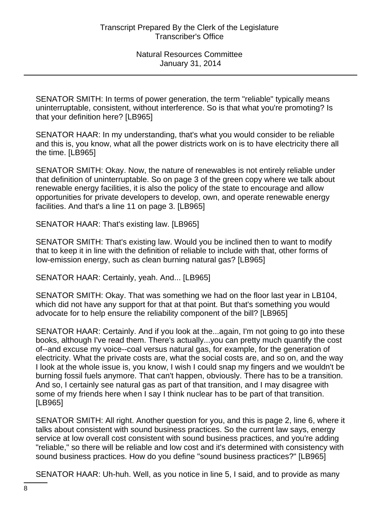SENATOR SMITH: In terms of power generation, the term "reliable" typically means uninterruptable, consistent, without interference. So is that what you're promoting? Is that your definition here? [LB965]

SENATOR HAAR: In my understanding, that's what you would consider to be reliable and this is, you know, what all the power districts work on is to have electricity there all the time. [LB965]

SENATOR SMITH: Okay. Now, the nature of renewables is not entirely reliable under that definition of uninterruptable. So on page 3 of the green copy where we talk about renewable energy facilities, it is also the policy of the state to encourage and allow opportunities for private developers to develop, own, and operate renewable energy facilities. And that's a line 11 on page 3. [LB965]

SENATOR HAAR: That's existing law. [LB965]

SENATOR SMITH: That's existing law. Would you be inclined then to want to modify that to keep it in line with the definition of reliable to include with that, other forms of low-emission energy, such as clean burning natural gas? [LB965]

SENATOR HAAR: Certainly, yeah. And... [LB965]

SENATOR SMITH: Okay. That was something we had on the floor last year in LB104, which did not have any support for that at that point. But that's something you would advocate for to help ensure the reliability component of the bill? [LB965]

SENATOR HAAR: Certainly. And if you look at the...again, I'm not going to go into these books, although I've read them. There's actually...you can pretty much quantify the cost of--and excuse my voice--coal versus natural gas, for example, for the generation of electricity. What the private costs are, what the social costs are, and so on, and the way I look at the whole issue is, you know, I wish I could snap my fingers and we wouldn't be burning fossil fuels anymore. That can't happen, obviously. There has to be a transition. And so, I certainly see natural gas as part of that transition, and I may disagree with some of my friends here when I say I think nuclear has to be part of that transition. [LB965]

SENATOR SMITH: All right. Another question for you, and this is page 2, line 6, where it talks about consistent with sound business practices. So the current law says, energy service at low overall cost consistent with sound business practices, and you're adding "reliable," so there will be reliable and low cost and it's determined with consistency with sound business practices. How do you define "sound business practices?" [LB965]

SENATOR HAAR: Uh-huh. Well, as you notice in line 5, I said, and to provide as many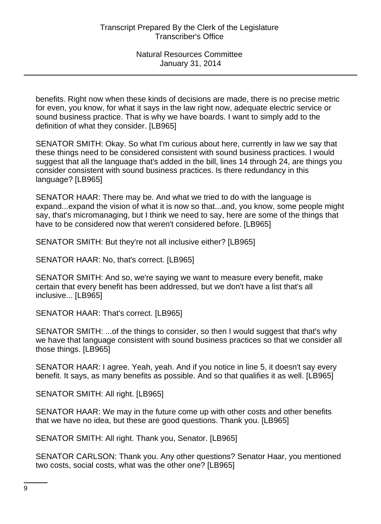benefits. Right now when these kinds of decisions are made, there is no precise metric for even, you know, for what it says in the law right now, adequate electric service or sound business practice. That is why we have boards. I want to simply add to the definition of what they consider. [LB965]

SENATOR SMITH: Okay. So what I'm curious about here, currently in law we say that these things need to be considered consistent with sound business practices. I would suggest that all the language that's added in the bill, lines 14 through 24, are things you consider consistent with sound business practices. Is there redundancy in this language? [LB965]

SENATOR HAAR: There may be. And what we tried to do with the language is expand...expand the vision of what it is now so that...and, you know, some people might say, that's micromanaging, but I think we need to say, here are some of the things that have to be considered now that weren't considered before. [LB965]

SENATOR SMITH: But they're not all inclusive either? [LB965]

SENATOR HAAR: No, that's correct. [LB965]

SENATOR SMITH: And so, we're saying we want to measure every benefit, make certain that every benefit has been addressed, but we don't have a list that's all inclusive... [LB965]

SENATOR HAAR: That's correct. [LB965]

SENATOR SMITH: ...of the things to consider, so then I would suggest that that's why we have that language consistent with sound business practices so that we consider all those things. [LB965]

SENATOR HAAR: I agree. Yeah, yeah. And if you notice in line 5, it doesn't say every benefit. It says, as many benefits as possible. And so that qualifies it as well. [LB965]

SENATOR SMITH: All right. [LB965]

SENATOR HAAR: We may in the future come up with other costs and other benefits that we have no idea, but these are good questions. Thank you. [LB965]

SENATOR SMITH: All right. Thank you, Senator. [LB965]

SENATOR CARLSON: Thank you. Any other questions? Senator Haar, you mentioned two costs, social costs, what was the other one? [LB965]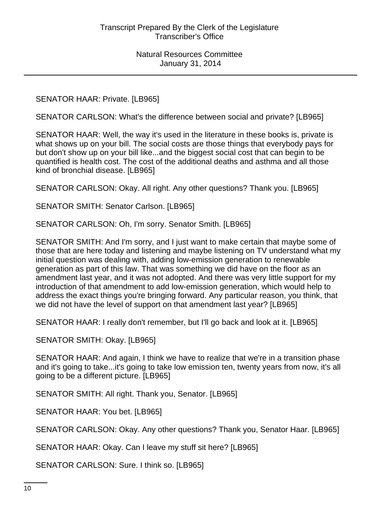SENATOR HAAR: Private. [LB965]

SENATOR CARLSON: What's the difference between social and private? [LB965]

SENATOR HAAR: Well, the way it's used in the literature in these books is, private is what shows up on your bill. The social costs are those things that everybody pays for but don't show up on your bill like...and the biggest social cost that can begin to be quantified is health cost. The cost of the additional deaths and asthma and all those kind of bronchial disease. [LB965]

SENATOR CARLSON: Okay. All right. Any other questions? Thank you. [LB965]

SENATOR SMITH: Senator Carlson. [LB965]

SENATOR CARLSON: Oh, I'm sorry. Senator Smith. [LB965]

SENATOR SMITH: And I'm sorry, and I just want to make certain that maybe some of those that are here today and listening and maybe listening on TV understand what my initial question was dealing with, adding low-emission generation to renewable generation as part of this law. That was something we did have on the floor as an amendment last year, and it was not adopted. And there was very little support for my introduction of that amendment to add low-emission generation, which would help to address the exact things you're bringing forward. Any particular reason, you think, that we did not have the level of support on that amendment last year? [LB965]

SENATOR HAAR: I really don't remember, but I'll go back and look at it. [LB965]

SENATOR SMITH: Okay. [LB965]

SENATOR HAAR: And again, I think we have to realize that we're in a transition phase and it's going to take...it's going to take low emission ten, twenty years from now, it's all going to be a different picture. [LB965]

SENATOR SMITH: All right. Thank you, Senator. [LB965]

SENATOR HAAR: You bet. [LB965]

SENATOR CARLSON: Okay. Any other questions? Thank you, Senator Haar. [LB965]

SENATOR HAAR: Okay. Can I leave my stuff sit here? [LB965]

SENATOR CARLSON: Sure. I think so. [LB965]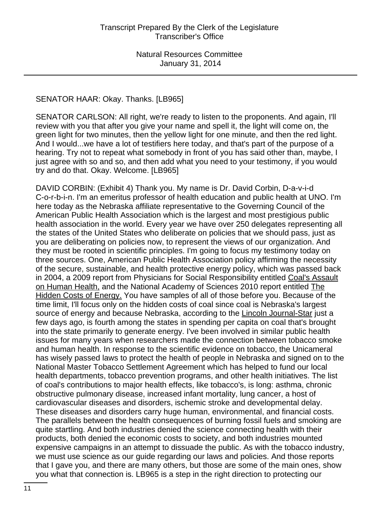#### SENATOR HAAR: Okay. Thanks. [LB965]

SENATOR CARLSON: All right, we're ready to listen to the proponents. And again, I'll review with you that after you give your name and spell it, the light will come on, the green light for two minutes, then the yellow light for one minute, and then the red light. And I would...we have a lot of testifiers here today, and that's part of the purpose of a hearing. Try not to repeat what somebody in front of you has said other than, maybe, I just agree with so and so, and then add what you need to your testimony, if you would try and do that. Okay. Welcome. [LB965]

DAVID CORBIN: (Exhibit 4) Thank you. My name is Dr. David Corbin, D-a-v-i-d C-o-r-b-i-n. I'm an emeritus professor of health education and public health at UNO. I'm here today as the Nebraska affiliate representative to the Governing Council of the American Public Health Association which is the largest and most prestigious public health association in the world. Every year we have over 250 delegates representing all the states of the United States who deliberate on policies that we should pass, just as you are deliberating on policies now, to represent the views of our organization. And they must be rooted in scientific principles. I'm going to focus my testimony today on three sources. One, American Public Health Association policy affirming the necessity of the secure, sustainable, and health protective energy policy, which was passed back in 2004, a 2009 report from Physicians for Social Responsibility entitled Coal's Assault on Human Health, and the National Academy of Sciences 2010 report entitled The Hidden Costs of Energy. You have samples of all of those before you. Because of the time limit, I'll focus only on the hidden costs of coal since coal is Nebraska's largest source of energy and because Nebraska, according to the Lincoln Journal-Star just a few days ago, is fourth among the states in spending per capita on coal that's brought into the state primarily to generate energy. I've been involved in similar public health issues for many years when researchers made the connection between tobacco smoke and human health. In response to the scientific evidence on tobacco, the Unicameral has wisely passed laws to protect the health of people in Nebraska and signed on to the National Master Tobacco Settlement Agreement which has helped to fund our local health departments, tobacco prevention programs, and other health initiatives. The list of coal's contributions to major health effects, like tobacco's, is long: asthma, chronic obstructive pulmonary disease, increased infant mortality, lung cancer, a host of cardiovascular diseases and disorders, ischemic stroke and developmental delay. These diseases and disorders carry huge human, environmental, and financial costs. The parallels between the health consequences of burning fossil fuels and smoking are quite startling. And both industries denied the science connecting health with their products, both denied the economic costs to society, and both industries mounted expensive campaigns in an attempt to dissuade the public. As with the tobacco industry, we must use science as our guide regarding our laws and policies. And those reports that I gave you, and there are many others, but those are some of the main ones, show you what that connection is. LB965 is a step in the right direction to protecting our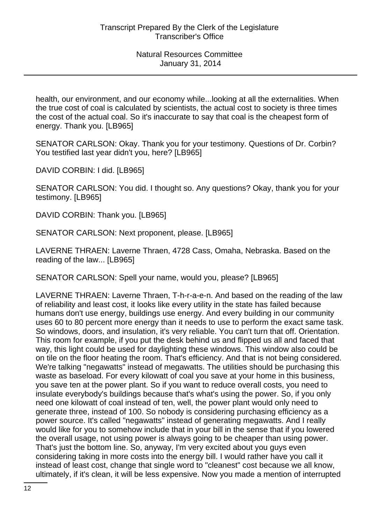health, our environment, and our economy while...looking at all the externalities. When the true cost of coal is calculated by scientists, the actual cost to society is three times the cost of the actual coal. So it's inaccurate to say that coal is the cheapest form of energy. Thank you. [LB965]

SENATOR CARLSON: Okay. Thank you for your testimony. Questions of Dr. Corbin? You testified last year didn't you, here? [LB965]

DAVID CORBIN: I did. [LB965]

SENATOR CARLSON: You did. I thought so. Any questions? Okay, thank you for your testimony. [LB965]

DAVID CORBIN: Thank you. [LB965]

SENATOR CARLSON: Next proponent, please. [LB965]

LAVERNE THRAEN: Laverne Thraen, 4728 Cass, Omaha, Nebraska. Based on the reading of the law... [LB965]

SENATOR CARLSON: Spell your name, would you, please? [LB965]

LAVERNE THRAEN: Laverne Thraen, T-h-r-a-e-n. And based on the reading of the law of reliability and least cost, it looks like every utility in the state has failed because humans don't use energy, buildings use energy. And every building in our community uses 60 to 80 percent more energy than it needs to use to perform the exact same task. So windows, doors, and insulation, it's very reliable. You can't turn that off. Orientation. This room for example, if you put the desk behind us and flipped us all and faced that way, this light could be used for daylighting these windows. This window also could be on tile on the floor heating the room. That's efficiency. And that is not being considered. We're talking "negawatts" instead of megawatts. The utilities should be purchasing this waste as baseload. For every kilowatt of coal you save at your home in this business, you save ten at the power plant. So if you want to reduce overall costs, you need to insulate everybody's buildings because that's what's using the power. So, if you only need one kilowatt of coal instead of ten, well, the power plant would only need to generate three, instead of 100. So nobody is considering purchasing efficiency as a power source. It's called "negawatts" instead of generating megawatts. And I really would like for you to somehow include that in your bill in the sense that if you lowered the overall usage, not using power is always going to be cheaper than using power. That's just the bottom line. So, anyway, I'm very excited about you guys even considering taking in more costs into the energy bill. I would rather have you call it instead of least cost, change that single word to "cleanest" cost because we all know, ultimately, if it's clean, it will be less expensive. Now you made a mention of interrupted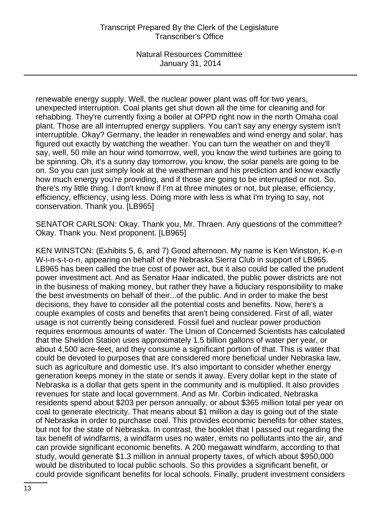renewable energy supply. Well, the nuclear power plant was off for two years, unexpected interruption. Coal plants get shut down all the time for cleaning and for rehabbing. They're currently fixing a boiler at OPPD right now in the north Omaha coal plant. Those are all interrupted energy suppliers. You can't say any energy system isn't interruptible. Okay? Germany, the leader in renewables and wind energy and solar, has figured out exactly by watching the weather. You can turn the weather on and they'll say, well, 50 mile an hour wind tomorrow, well, you know the wind turbines are going to be spinning. Oh, it's a sunny day tomorrow, you know, the solar panels are going to be on. So you can just simply look at the weatherman and his prediction and know exactly how much energy you're providing, and if those are going to be interrupted or not. So, there's my little thing. I don't know if I'm at three minutes or not, but please, efficiency, efficiency, efficiency, using less. Doing more with less is what I'm trying to say, not conservation. Thank you. [LB965]

SENATOR CARLSON: Okay. Thank you, Mr. Thraen. Any questions of the committee? Okay. Thank you. Next proponent. [LB965]

KEN WINSTON: (Exhibits 5, 6, and 7) Good afternoon. My name is Ken Winston, K-e-n W-i-n-s-t-o-n, appearing on behalf of the Nebraska Sierra Club in support of LB965. LB965 has been called the true cost of power act, but it also could be called the prudent power investment act. And as Senator Haar indicated, the public power districts are not in the business of making money, but rather they have a fiduciary responsibility to make the best investments on behalf of their...of the public. And in order to make the best decisions, they have to consider all the potential costs and benefits. Now, here's a couple examples of costs and benefits that aren't being considered. First of all, water usage is not currently being considered. Fossil fuel and nuclear power production requires enormous amounts of water. The Union of Concerned Scientists has calculated that the Sheldon Station uses approximately 1.5 billion gallons of water per year, or about 4,500 acre-feet, and they consume a significant portion of that. This is water that could be devoted to purposes that are considered more beneficial under Nebraska law, such as agriculture and domestic use. It's also important to consider whether energy generation keeps money in the state or sends it away. Every dollar kept in the state of Nebraska is a dollar that gets spent in the community and is multiplied. It also provides revenues for state and local government. And as Mr. Corbin indicated, Nebraska residents spend about \$203 per person annually, or about \$365 million total per year on coal to generate electricity. That means about \$1 million a day is going out of the state of Nebraska in order to purchase coal. This provides economic benefits for other states, but not for the state of Nebraska. In contrast, the booklet that I passed out regarding the tax benefit of windfarms, a windfarm uses no water, emits no pollutants into the air, and can provide significant economic benefits. A 200 megawatt windfarm, according to that study, would generate \$1.3 million in annual property taxes, of which about \$950,000 would be distributed to local public schools. So this provides a significant benefit, or could provide significant benefits for local schools. Finally, prudent investment considers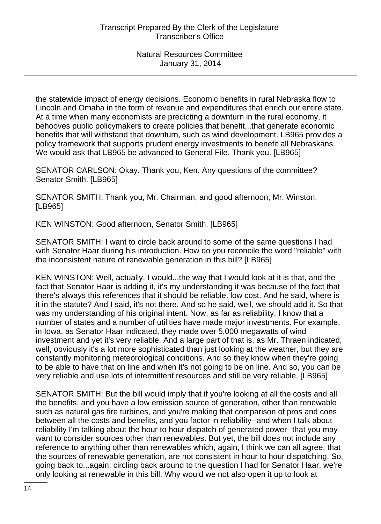the statewide impact of energy decisions. Economic benefits in rural Nebraska flow to Lincoln and Omaha in the form of revenue and expenditures that enrich our entire state. At a time when many economists are predicting a downturn in the rural economy, it behooves public policymakers to create policies that benefit...that generate economic benefits that will withstand that downturn, such as wind development. LB965 provides a policy framework that supports prudent energy investments to benefit all Nebraskans. We would ask that LB965 be advanced to General File. Thank you. [LB965]

SENATOR CARLSON: Okay. Thank you, Ken. Any questions of the committee? Senator Smith. [LB965]

SENATOR SMITH: Thank you, Mr. Chairman, and good afternoon, Mr. Winston. [LB965]

KEN WINSTON: Good afternoon, Senator Smith. [LB965]

SENATOR SMITH: I want to circle back around to some of the same questions I had with Senator Haar during his introduction. How do you reconcile the word "reliable" with the inconsistent nature of renewable generation in this bill? [LB965]

KEN WINSTON: Well, actually, I would...the way that I would look at it is that, and the fact that Senator Haar is adding it, it's my understanding it was because of the fact that there's always this references that it should be reliable, low cost. And he said, where is it in the statute? And I said, it's not there. And so he said, well, we should add it. So that was my understanding of his original intent. Now, as far as reliability, I know that a number of states and a number of utilities have made major investments. For example, in Iowa, as Senator Haar indicated, they made over 5,000 megawatts of wind investment and yet it's very reliable. And a large part of that is, as Mr. Thraen indicated, well, obviously it's a lot more sophisticated than just looking at the weather, but they are constantly monitoring meteorological conditions. And so they know when they're going to be able to have that on line and when it's not going to be on line. And so, you can be very reliable and use lots of intermittent resources and still be very reliable. [LB965]

SENATOR SMITH: But the bill would imply that if you're looking at all the costs and all the benefits, and you have a low emission source of generation, other than renewable such as natural gas fire turbines, and you're making that comparison of pros and cons between all the costs and benefits, and you factor in reliability--and when I talk about reliability I'm talking about the hour to hour dispatch of generated power--that you may want to consider sources other than renewables. But yet, the bill does not include any reference to anything other than renewables which, again, I think we can all agree, that the sources of renewable generation, are not consistent in hour to hour dispatching. So, going back to...again, circling back around to the question I had for Senator Haar, we're only looking at renewable in this bill. Why would we not also open it up to look at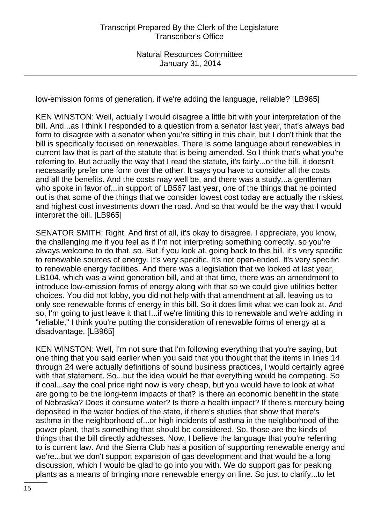low-emission forms of generation, if we're adding the language, reliable? [LB965]

KEN WINSTON: Well, actually I would disagree a little bit with your interpretation of the bill. And...as I think I responded to a question from a senator last year, that's always bad form to disagree with a senator when you're sitting in this chair, but I don't think that the bill is specifically focused on renewables. There is some language about renewables in current law that is part of the statute that is being amended. So I think that's what you're referring to. But actually the way that I read the statute, it's fairly...or the bill, it doesn't necessarily prefer one form over the other. It says you have to consider all the costs and all the benefits. And the costs may well be, and there was a study...a gentleman who spoke in favor of...in support of LB567 last year, one of the things that he pointed out is that some of the things that we consider lowest cost today are actually the riskiest and highest cost investments down the road. And so that would be the way that I would interpret the bill. [LB965]

SENATOR SMITH: Right. And first of all, it's okay to disagree. I appreciate, you know, the challenging me if you feel as if I'm not interpreting something correctly, so you're always welcome to do that, so. But if you look at, going back to this bill, it's very specific to renewable sources of energy. It's very specific. It's not open-ended. It's very specific to renewable energy facilities. And there was a legislation that we looked at last year, LB104, which was a wind generation bill, and at that time, there was an amendment to introduce low-emission forms of energy along with that so we could give utilities better choices. You did not lobby, you did not help with that amendment at all, leaving us to only see renewable forms of energy in this bill. So it does limit what we can look at. And so, I'm going to just leave it that I...if we're limiting this to renewable and we're adding in "reliable," I think you're putting the consideration of renewable forms of energy at a disadvantage. [LB965]

KEN WINSTON: Well, I'm not sure that I'm following everything that you're saying, but one thing that you said earlier when you said that you thought that the items in lines 14 through 24 were actually definitions of sound business practices, I would certainly agree with that statement. So...but the idea would be that everything would be competing. So if coal...say the coal price right now is very cheap, but you would have to look at what are going to be the long-term impacts of that? Is there an economic benefit in the state of Nebraska? Does it consume water? Is there a health impact? If there's mercury being deposited in the water bodies of the state, if there's studies that show that there's asthma in the neighborhood of...or high incidents of asthma in the neighborhood of the power plant, that's something that should be considered. So, those are the kinds of things that the bill directly addresses. Now, I believe the language that you're referring to is current law. And the Sierra Club has a position of supporting renewable energy and we're...but we don't support expansion of gas development and that would be a long discussion, which I would be glad to go into you with. We do support gas for peaking plants as a means of bringing more renewable energy on line. So just to clarify...to let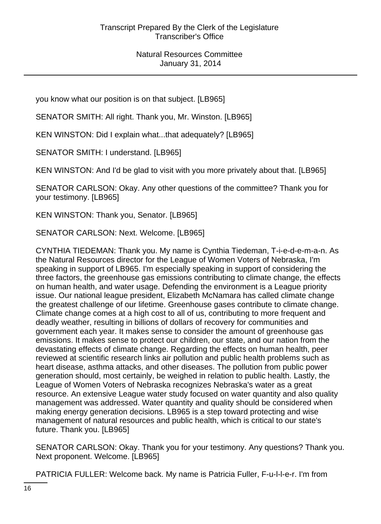you know what our position is on that subject. [LB965]

SENATOR SMITH: All right. Thank you, Mr. Winston. [LB965]

KEN WINSTON: Did I explain what...that adequately? [LB965]

SENATOR SMITH: I understand. [LB965]

KEN WINSTON: And I'd be glad to visit with you more privately about that. [LB965]

SENATOR CARLSON: Okay. Any other questions of the committee? Thank you for your testimony. [LB965]

KEN WINSTON: Thank you, Senator. [LB965]

SENATOR CARLSON: Next. Welcome. [LB965]

CYNTHIA TIEDEMAN: Thank you. My name is Cynthia Tiedeman, T-i-e-d-e-m-a-n. As the Natural Resources director for the League of Women Voters of Nebraska, I'm speaking in support of LB965. I'm especially speaking in support of considering the three factors, the greenhouse gas emissions contributing to climate change, the effects on human health, and water usage. Defending the environment is a League priority issue. Our national league president, Elizabeth McNamara has called climate change the greatest challenge of our lifetime. Greenhouse gases contribute to climate change. Climate change comes at a high cost to all of us, contributing to more frequent and deadly weather, resulting in billions of dollars of recovery for communities and government each year. It makes sense to consider the amount of greenhouse gas emissions. It makes sense to protect our children, our state, and our nation from the devastating effects of climate change. Regarding the effects on human health, peer reviewed at scientific research links air pollution and public health problems such as heart disease, asthma attacks, and other diseases. The pollution from public power generation should, most certainly, be weighed in relation to public health. Lastly, the League of Women Voters of Nebraska recognizes Nebraska's water as a great resource. An extensive League water study focused on water quantity and also quality management was addressed. Water quantity and quality should be considered when making energy generation decisions. LB965 is a step toward protecting and wise management of natural resources and public health, which is critical to our state's future. Thank you. [LB965]

SENATOR CARLSON: Okay. Thank you for your testimony. Any questions? Thank you. Next proponent. Welcome. [LB965]

PATRICIA FULLER: Welcome back. My name is Patricia Fuller, F-u-l-l-e-r. I'm from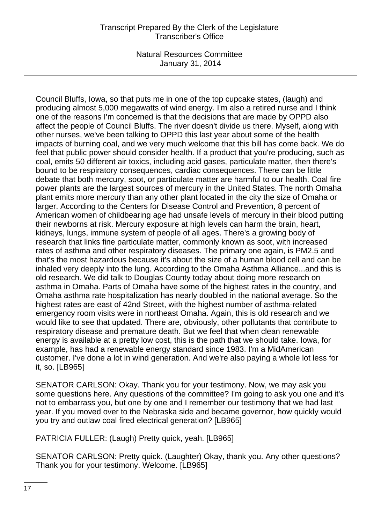Council Bluffs, Iowa, so that puts me in one of the top cupcake states, (laugh) and producing almost 5,000 megawatts of wind energy. I'm also a retired nurse and I think one of the reasons I'm concerned is that the decisions that are made by OPPD also affect the people of Council Bluffs. The river doesn't divide us there. Myself, along with other nurses, we've been talking to OPPD this last year about some of the health impacts of burning coal, and we very much welcome that this bill has come back. We do feel that public power should consider health. If a product that you're producing, such as coal, emits 50 different air toxics, including acid gases, particulate matter, then there's bound to be respiratory consequences, cardiac consequences. There can be little debate that both mercury, soot, or particulate matter are harmful to our health. Coal fire power plants are the largest sources of mercury in the United States. The north Omaha plant emits more mercury than any other plant located in the city the size of Omaha or larger. According to the Centers for Disease Control and Prevention, 8 percent of American women of childbearing age had unsafe levels of mercury in their blood putting their newborns at risk. Mercury exposure at high levels can harm the brain, heart, kidneys, lungs, immune system of people of all ages. There's a growing body of research that links fine particulate matter, commonly known as soot, with increased rates of asthma and other respiratory diseases. The primary one again, is PM2.5 and that's the most hazardous because it's about the size of a human blood cell and can be inhaled very deeply into the lung. According to the Omaha Asthma Alliance...and this is old research. We did talk to Douglas County today about doing more research on asthma in Omaha. Parts of Omaha have some of the highest rates in the country, and Omaha asthma rate hospitalization has nearly doubled in the national average. So the highest rates are east of 42nd Street, with the highest number of asthma-related emergency room visits were in northeast Omaha. Again, this is old research and we would like to see that updated. There are, obviously, other pollutants that contribute to respiratory disease and premature death. But we feel that when clean renewable energy is available at a pretty low cost, this is the path that we should take. Iowa, for example, has had a renewable energy standard since 1983. I'm a MidAmerican customer. I've done a lot in wind generation. And we're also paying a whole lot less for it, so. [LB965]

SENATOR CARLSON: Okay. Thank you for your testimony. Now, we may ask you some questions here. Any questions of the committee? I'm going to ask you one and it's not to embarrass you, but one by one and I remember our testimony that we had last year. If you moved over to the Nebraska side and became governor, how quickly would you try and outlaw coal fired electrical generation? [LB965]

PATRICIA FULLER: (Laugh) Pretty quick, yeah. [LB965]

SENATOR CARLSON: Pretty quick. (Laughter) Okay, thank you. Any other questions? Thank you for your testimony. Welcome. [LB965]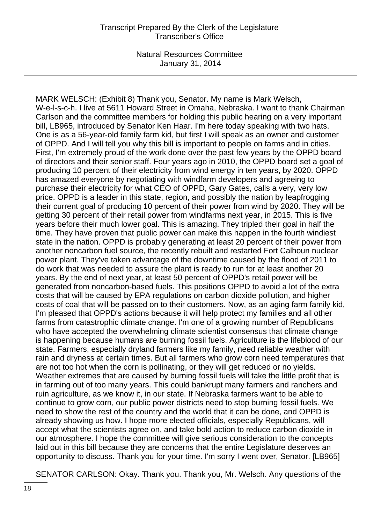MARK WELSCH: (Exhibit 8) Thank you, Senator. My name is Mark Welsch, W-e-l-s-c-h. I live at 5611 Howard Street in Omaha, Nebraska. I want to thank Chairman Carlson and the committee members for holding this public hearing on a very important bill, LB965, introduced by Senator Ken Haar. I'm here today speaking with two hats. One is as a 56-year-old family farm kid, but first I will speak as an owner and customer of OPPD. And I will tell you why this bill is important to people on farms and in cities. First, I'm extremely proud of the work done over the past few years by the OPPD board of directors and their senior staff. Four years ago in 2010, the OPPD board set a goal of producing 10 percent of their electricity from wind energy in ten years, by 2020. OPPD has amazed everyone by negotiating with windfarm developers and agreeing to purchase their electricity for what CEO of OPPD, Gary Gates, calls a very, very low price. OPPD is a leader in this state, region, and possibly the nation by leapfrogging their current goal of producing 10 percent of their power from wind by 2020. They will be getting 30 percent of their retail power from windfarms next year, in 2015. This is five years before their much lower goal. This is amazing. They tripled their goal in half the time. They have proven that public power can make this happen in the fourth windiest state in the nation. OPPD is probably generating at least 20 percent of their power from another noncarbon fuel source, the recently rebuilt and restarted Fort Calhoun nuclear power plant. They've taken advantage of the downtime caused by the flood of 2011 to do work that was needed to assure the plant is ready to run for at least another 20 years. By the end of next year, at least 50 percent of OPPD's retail power will be generated from noncarbon-based fuels. This positions OPPD to avoid a lot of the extra costs that will be caused by EPA regulations on carbon dioxide pollution, and higher costs of coal that will be passed on to their customers. Now, as an aging farm family kid, I'm pleased that OPPD's actions because it will help protect my families and all other farms from catastrophic climate change. I'm one of a growing number of Republicans who have accepted the overwhelming climate scientist consensus that climate change is happening because humans are burning fossil fuels. Agriculture is the lifeblood of our state. Farmers, especially dryland farmers like my family, need reliable weather with rain and dryness at certain times. But all farmers who grow corn need temperatures that are not too hot when the corn is pollinating, or they will get reduced or no yields. Weather extremes that are caused by burning fossil fuels will take the little profit that is in farming out of too many years. This could bankrupt many farmers and ranchers and ruin agriculture, as we know it, in our state. If Nebraska farmers want to be able to continue to grow corn, our public power districts need to stop burning fossil fuels. We need to show the rest of the country and the world that it can be done, and OPPD is already showing us how. I hope more elected officials, especially Republicans, will accept what the scientists agree on, and take bold action to reduce carbon dioxide in our atmosphere. I hope the committee will give serious consideration to the concepts laid out in this bill because they are concerns that the entire Legislature deserves an opportunity to discuss. Thank you for your time. I'm sorry I went over, Senator. [LB965]

SENATOR CARLSON: Okay. Thank you. Thank you, Mr. Welsch. Any questions of the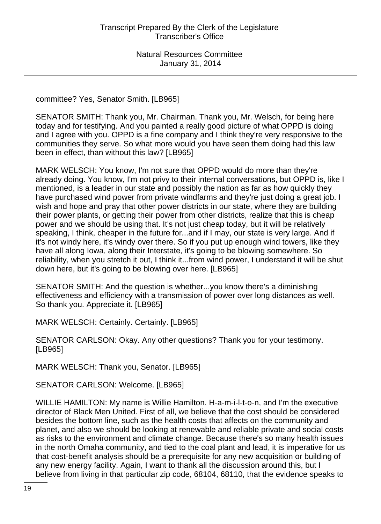committee? Yes, Senator Smith. [LB965]

SENATOR SMITH: Thank you, Mr. Chairman. Thank you, Mr. Welsch, for being here today and for testifying. And you painted a really good picture of what OPPD is doing and I agree with you. OPPD is a fine company and I think they're very responsive to the communities they serve. So what more would you have seen them doing had this law been in effect, than without this law? [LB965]

MARK WELSCH: You know, I'm not sure that OPPD would do more than they're already doing. You know, I'm not privy to their internal conversations, but OPPD is, like I mentioned, is a leader in our state and possibly the nation as far as how quickly they have purchased wind power from private windfarms and they're just doing a great job. I wish and hope and pray that other power districts in our state, where they are building their power plants, or getting their power from other districts, realize that this is cheap power and we should be using that. It's not just cheap today, but it will be relatively speaking, I think, cheaper in the future for...and if I may, our state is very large. And if it's not windy here, it's windy over there. So if you put up enough wind towers, like they have all along Iowa, along their Interstate, it's going to be blowing somewhere. So reliability, when you stretch it out, I think it...from wind power, I understand it will be shut down here, but it's going to be blowing over here. [LB965]

SENATOR SMITH: And the question is whether...you know there's a diminishing effectiveness and efficiency with a transmission of power over long distances as well. So thank you. Appreciate it. [LB965]

MARK WELSCH: Certainly. Certainly. [LB965]

SENATOR CARLSON: Okay. Any other questions? Thank you for your testimony. [LB965]

MARK WELSCH: Thank you, Senator. [LB965]

SENATOR CARLSON: Welcome. [LB965]

WILLIE HAMILTON: My name is Willie Hamilton. H-a-m-i-l-t-o-n, and I'm the executive director of Black Men United. First of all, we believe that the cost should be considered besides the bottom line, such as the health costs that affects on the community and planet, and also we should be looking at renewable and reliable private and social costs as risks to the environment and climate change. Because there's so many health issues in the north Omaha community, and tied to the coal plant and lead, it is imperative for us that cost-benefit analysis should be a prerequisite for any new acquisition or building of any new energy facility. Again, I want to thank all the discussion around this, but I believe from living in that particular zip code, 68104, 68110, that the evidence speaks to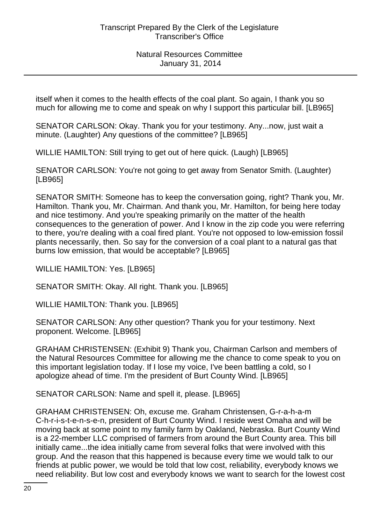itself when it comes to the health effects of the coal plant. So again, I thank you so much for allowing me to come and speak on why I support this particular bill. [LB965]

SENATOR CARLSON: Okay. Thank you for your testimony. Any...now, just wait a minute. (Laughter) Any questions of the committee? [LB965]

WILLIE HAMILTON: Still trying to get out of here quick. (Laugh) [LB965]

SENATOR CARLSON: You're not going to get away from Senator Smith. (Laughter) [LB965]

SENATOR SMITH: Someone has to keep the conversation going, right? Thank you, Mr. Hamilton. Thank you, Mr. Chairman. And thank you, Mr. Hamilton, for being here today and nice testimony. And you're speaking primarily on the matter of the health consequences to the generation of power. And I know in the zip code you were referring to there, you're dealing with a coal fired plant. You're not opposed to low-emission fossil plants necessarily, then. So say for the conversion of a coal plant to a natural gas that burns low emission, that would be acceptable? [LB965]

WILLIE HAMILTON: Yes. [LB965]

SENATOR SMITH: Okay. All right. Thank you. [LB965]

WILLIE HAMILTON: Thank you. [LB965]

SENATOR CARLSON: Any other question? Thank you for your testimony. Next proponent. Welcome. [LB965]

GRAHAM CHRISTENSEN: (Exhibit 9) Thank you, Chairman Carlson and members of the Natural Resources Committee for allowing me the chance to come speak to you on this important legislation today. If I lose my voice, I've been battling a cold, so I apologize ahead of time. I'm the president of Burt County Wind. [LB965]

SENATOR CARLSON: Name and spell it, please. [LB965]

GRAHAM CHRISTENSEN: Oh, excuse me. Graham Christensen, G-r-a-h-a-m C-h-r-i-s-t-e-n-s-e-n, president of Burt County Wind. I reside west Omaha and will be moving back at some point to my family farm by Oakland, Nebraska. Burt County Wind is a 22-member LLC comprised of farmers from around the Burt County area. This bill initially came...the idea initially came from several folks that were involved with this group. And the reason that this happened is because every time we would talk to our friends at public power, we would be told that low cost, reliability, everybody knows we need reliability. But low cost and everybody knows we want to search for the lowest cost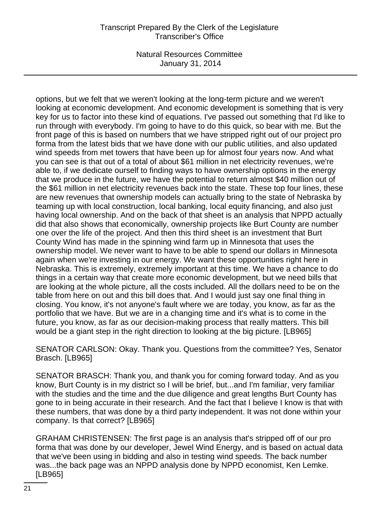# Transcript Prepared By the Clerk of the Legislature Transcriber's Office

Natural Resources Committee January 31, 2014

options, but we felt that we weren't looking at the long-term picture and we weren't looking at economic development. And economic development is something that is very key for us to factor into these kind of equations. I've passed out something that I'd like to run through with everybody. I'm going to have to do this quick, so bear with me. But the front page of this is based on numbers that we have stripped right out of our project pro forma from the latest bids that we have done with our public utilities, and also updated wind speeds from met towers that have been up for almost four years now. And what you can see is that out of a total of about \$61 million in net electricity revenues, we're able to, if we dedicate ourself to finding ways to have ownership options in the energy that we produce in the future, we have the potential to return almost \$40 million out of the \$61 million in net electricity revenues back into the state. These top four lines, these are new revenues that ownership models can actually bring to the state of Nebraska by teaming up with local construction, local banking, local equity financing, and also just having local ownership. And on the back of that sheet is an analysis that NPPD actually did that also shows that economically, ownership projects like Burt County are number one over the life of the project. And then this third sheet is an investment that Burt County Wind has made in the spinning wind farm up in Minnesota that uses the ownership model. We never want to have to be able to spend our dollars in Minnesota again when we're investing in our energy. We want these opportunities right here in Nebraska. This is extremely, extremely important at this time. We have a chance to do things in a certain way that create more economic development, but we need bills that are looking at the whole picture, all the costs included. All the dollars need to be on the table from here on out and this bill does that. And I would just say one final thing in closing. You know, it's not anyone's fault where we are today, you know, as far as the portfolio that we have. But we are in a changing time and it's what is to come in the future, you know, as far as our decision-making process that really matters. This bill would be a giant step in the right direction to looking at the big picture. [LB965]

SENATOR CARLSON: Okay. Thank you. Questions from the committee? Yes, Senator Brasch. [LB965]

SENATOR BRASCH: Thank you, and thank you for coming forward today. And as you know, Burt County is in my district so I will be brief, but...and I'm familiar, very familiar with the studies and the time and the due diligence and great lengths Burt County has gone to in being accurate in their research. And the fact that I believe I know is that with these numbers, that was done by a third party independent. It was not done within your company. Is that correct? [LB965]

GRAHAM CHRISTENSEN: The first page is an analysis that's stripped off of our pro forma that was done by our developer, Jewel Wind Energy, and is based on actual data that we've been using in bidding and also in testing wind speeds. The back number was...the back page was an NPPD analysis done by NPPD economist, Ken Lemke. [LB965]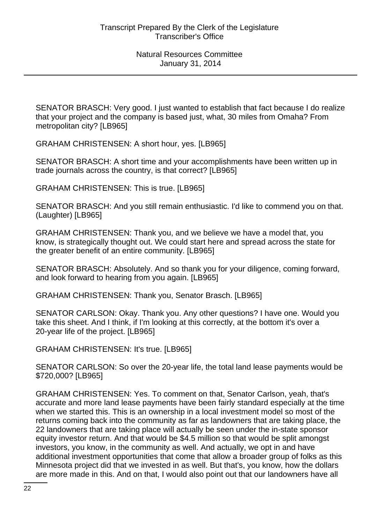SENATOR BRASCH: Very good. I just wanted to establish that fact because I do realize that your project and the company is based just, what, 30 miles from Omaha? From metropolitan city? [LB965]

GRAHAM CHRISTENSEN: A short hour, yes. [LB965]

SENATOR BRASCH: A short time and your accomplishments have been written up in trade journals across the country, is that correct? [LB965]

GRAHAM CHRISTENSEN: This is true. [LB965]

SENATOR BRASCH: And you still remain enthusiastic. I'd like to commend you on that. (Laughter) [LB965]

GRAHAM CHRISTENSEN: Thank you, and we believe we have a model that, you know, is strategically thought out. We could start here and spread across the state for the greater benefit of an entire community. [LB965]

SENATOR BRASCH: Absolutely. And so thank you for your diligence, coming forward, and look forward to hearing from you again. [LB965]

GRAHAM CHRISTENSEN: Thank you, Senator Brasch. [LB965]

SENATOR CARLSON: Okay. Thank you. Any other questions? I have one. Would you take this sheet. And I think, if I'm looking at this correctly, at the bottom it's over a 20-year life of the project. [LB965]

GRAHAM CHRISTENSEN: It's true. [LB965]

SENATOR CARLSON: So over the 20-year life, the total land lease payments would be \$720,000? [LB965]

GRAHAM CHRISTENSEN: Yes. To comment on that, Senator Carlson, yeah, that's accurate and more land lease payments have been fairly standard especially at the time when we started this. This is an ownership in a local investment model so most of the returns coming back into the community as far as landowners that are taking place, the 22 landowners that are taking place will actually be seen under the in-state sponsor equity investor return. And that would be \$4.5 million so that would be split amongst investors, you know, in the community as well. And actually, we opt in and have additional investment opportunities that come that allow a broader group of folks as this Minnesota project did that we invested in as well. But that's, you know, how the dollars are more made in this. And on that, I would also point out that our landowners have all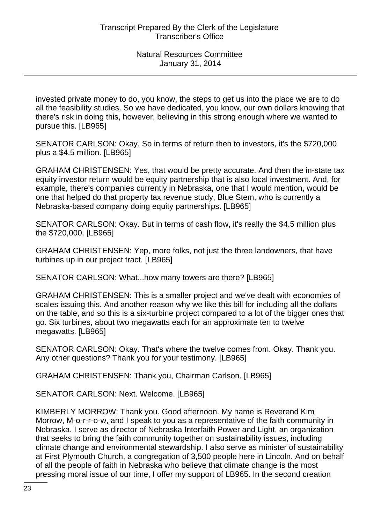invested private money to do, you know, the steps to get us into the place we are to do all the feasibility studies. So we have dedicated, you know, our own dollars knowing that there's risk in doing this, however, believing in this strong enough where we wanted to pursue this. [LB965]

SENATOR CARLSON: Okay. So in terms of return then to investors, it's the \$720,000 plus a \$4.5 million. [LB965]

GRAHAM CHRISTENSEN: Yes, that would be pretty accurate. And then the in-state tax equity investor return would be equity partnership that is also local investment. And, for example, there's companies currently in Nebraska, one that I would mention, would be one that helped do that property tax revenue study, Blue Stem, who is currently a Nebraska-based company doing equity partnerships. [LB965]

SENATOR CARLSON: Okay. But in terms of cash flow, it's really the \$4.5 million plus the \$720,000. [LB965]

GRAHAM CHRISTENSEN: Yep, more folks, not just the three landowners, that have turbines up in our project tract. [LB965]

SENATOR CARLSON: What...how many towers are there? [LB965]

GRAHAM CHRISTENSEN: This is a smaller project and we've dealt with economies of scales issuing this. And another reason why we like this bill for including all the dollars on the table, and so this is a six-turbine project compared to a lot of the bigger ones that go. Six turbines, about two megawatts each for an approximate ten to twelve megawatts. [LB965]

SENATOR CARLSON: Okay. That's where the twelve comes from. Okay. Thank you. Any other questions? Thank you for your testimony. [LB965]

GRAHAM CHRISTENSEN: Thank you, Chairman Carlson. [LB965]

SENATOR CARLSON: Next. Welcome. [LB965]

KIMBERLY MORROW: Thank you. Good afternoon. My name is Reverend Kim Morrow, M-o-r-r-o-w, and I speak to you as a representative of the faith community in Nebraska. I serve as director of Nebraska Interfaith Power and Light, an organization that seeks to bring the faith community together on sustainability issues, including climate change and environmental stewardship. I also serve as minister of sustainability at First Plymouth Church, a congregation of 3,500 people here in Lincoln. And on behalf of all the people of faith in Nebraska who believe that climate change is the most pressing moral issue of our time, I offer my support of LB965. In the second creation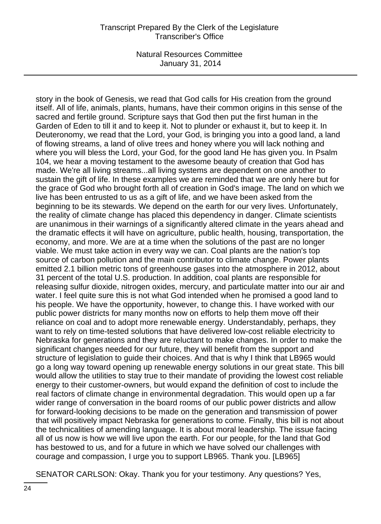#### Transcript Prepared By the Clerk of the Legislature Transcriber's Office

Natural Resources Committee January 31, 2014

story in the book of Genesis, we read that God calls for His creation from the ground itself. All of life, animals, plants, humans, have their common origins in this sense of the sacred and fertile ground. Scripture says that God then put the first human in the Garden of Eden to till it and to keep it. Not to plunder or exhaust it, but to keep it. In Deuteronomy, we read that the Lord, your God, is bringing you into a good land, a land of flowing streams, a land of olive trees and honey where you will lack nothing and where you will bless the Lord, your God, for the good land He has given you. In Psalm 104, we hear a moving testament to the awesome beauty of creation that God has made. We're all living streams...all living systems are dependent on one another to sustain the gift of life. In these examples we are reminded that we are only here but for the grace of God who brought forth all of creation in God's image. The land on which we live has been entrusted to us as a gift of life, and we have been asked from the beginning to be its stewards. We depend on the earth for our very lives. Unfortunately, the reality of climate change has placed this dependency in danger. Climate scientists are unanimous in their warnings of a significantly altered climate in the years ahead and the dramatic effects it will have on agriculture, public health, housing, transportation, the economy, and more. We are at a time when the solutions of the past are no longer viable. We must take action in every way we can. Coal plants are the nation's top source of carbon pollution and the main contributor to climate change. Power plants emitted 2.1 billion metric tons of greenhouse gases into the atmosphere in 2012, about 31 percent of the total U.S. production. In addition, coal plants are responsible for releasing sulfur dioxide, nitrogen oxides, mercury, and particulate matter into our air and water. I feel quite sure this is not what God intended when he promised a good land to his people. We have the opportunity, however, to change this. I have worked with our public power districts for many months now on efforts to help them move off their reliance on coal and to adopt more renewable energy. Understandably, perhaps, they want to rely on time-tested solutions that have delivered low-cost reliable electricity to Nebraska for generations and they are reluctant to make changes. In order to make the significant changes needed for our future, they will benefit from the support and structure of legislation to guide their choices. And that is why I think that LB965 would go a long way toward opening up renewable energy solutions in our great state. This bill would allow the utilities to stay true to their mandate of providing the lowest cost reliable energy to their customer-owners, but would expand the definition of cost to include the real factors of climate change in environmental degradation. This would open up a far wider range of conversation in the board rooms of our public power districts and allow for forward-looking decisions to be made on the generation and transmission of power that will positively impact Nebraska for generations to come. Finally, this bill is not about the technicalities of amending language. It is about moral leadership. The issue facing all of us now is how we will live upon the earth. For our people, for the land that God has bestowed to us, and for a future in which we have solved our challenges with courage and compassion, I urge you to support LB965. Thank you. [LB965]

SENATOR CARLSON: Okay. Thank you for your testimony. Any questions? Yes,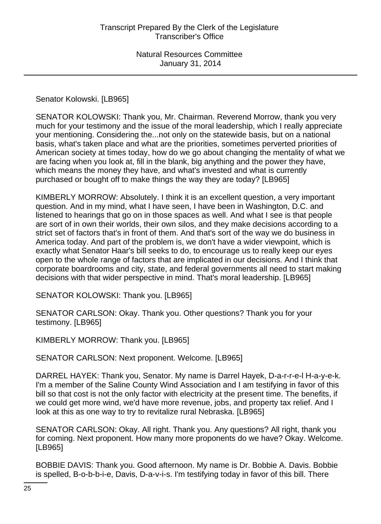Senator Kolowski. [LB965]

SENATOR KOLOWSKI: Thank you, Mr. Chairman. Reverend Morrow, thank you very much for your testimony and the issue of the moral leadership, which I really appreciate your mentioning. Considering the...not only on the statewide basis, but on a national basis, what's taken place and what are the priorities, sometimes perverted priorities of American society at times today, how do we go about changing the mentality of what we are facing when you look at, fill in the blank, big anything and the power they have, which means the money they have, and what's invested and what is currently purchased or bought off to make things the way they are today? [LB965]

KIMBERLY MORROW: Absolutely. I think it is an excellent question, a very important question. And in my mind, what I have seen, I have been in Washington, D.C. and listened to hearings that go on in those spaces as well. And what I see is that people are sort of in own their worlds, their own silos, and they make decisions according to a strict set of factors that's in front of them. And that's sort of the way we do business in America today. And part of the problem is, we don't have a wider viewpoint, which is exactly what Senator Haar's bill seeks to do, to encourage us to really keep our eyes open to the whole range of factors that are implicated in our decisions. And I think that corporate boardrooms and city, state, and federal governments all need to start making decisions with that wider perspective in mind. That's moral leadership. [LB965]

SENATOR KOLOWSKI: Thank you. [LB965]

SENATOR CARLSON: Okay. Thank you. Other questions? Thank you for your testimony. [LB965]

KIMBERLY MORROW: Thank you. [LB965]

SENATOR CARLSON: Next proponent. Welcome. [LB965]

DARREL HAYEK: Thank you, Senator. My name is Darrel Hayek, D-a-r-r-e-l H-a-y-e-k. I'm a member of the Saline County Wind Association and I am testifying in favor of this bill so that cost is not the only factor with electricity at the present time. The benefits, if we could get more wind, we'd have more revenue, jobs, and property tax relief. And I look at this as one way to try to revitalize rural Nebraska. [LB965]

SENATOR CARLSON: Okay. All right. Thank you. Any questions? All right, thank you for coming. Next proponent. How many more proponents do we have? Okay. Welcome. [LB965]

BOBBIE DAVIS: Thank you. Good afternoon. My name is Dr. Bobbie A. Davis. Bobbie is spelled, B-o-b-b-i-e, Davis, D-a-v-i-s. I'm testifying today in favor of this bill. There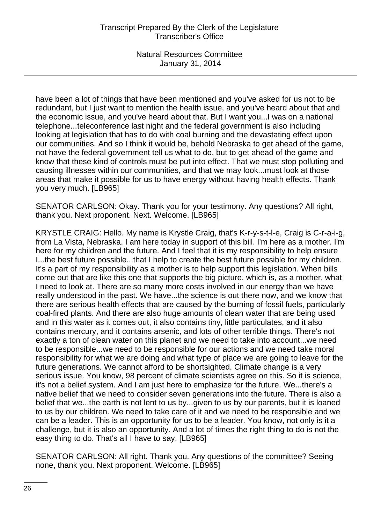have been a lot of things that have been mentioned and you've asked for us not to be redundant, but I just want to mention the health issue, and you've heard about that and the economic issue, and you've heard about that. But I want you...I was on a national telephone...teleconference last night and the federal government is also including looking at legislation that has to do with coal burning and the devastating effect upon our communities. And so I think it would be, behold Nebraska to get ahead of the game, not have the federal government tell us what to do, but to get ahead of the game and know that these kind of controls must be put into effect. That we must stop polluting and causing illnesses within our communities, and that we may look...must look at those areas that make it possible for us to have energy without having health effects. Thank you very much. [LB965]

SENATOR CARLSON: Okay. Thank you for your testimony. Any questions? All right, thank you. Next proponent. Next. Welcome. [LB965]

KRYSTLE CRAIG: Hello. My name is Krystle Craig, that's K-r-y-s-t-l-e, Craig is C-r-a-i-g, from La Vista, Nebraska. I am here today in support of this bill. I'm here as a mother. I'm here for my children and the future. And I feel that it is my responsibility to help ensure I...the best future possible...that I help to create the best future possible for my children. It's a part of my responsibility as a mother is to help support this legislation. When bills come out that are like this one that supports the big picture, which is, as a mother, what I need to look at. There are so many more costs involved in our energy than we have really understood in the past. We have...the science is out there now, and we know that there are serious health effects that are caused by the burning of fossil fuels, particularly coal-fired plants. And there are also huge amounts of clean water that are being used and in this water as it comes out, it also contains tiny, little particulates, and it also contains mercury, and it contains arsenic, and lots of other terrible things. There's not exactly a ton of clean water on this planet and we need to take into account...we need to be responsible...we need to be responsible for our actions and we need take moral responsibility for what we are doing and what type of place we are going to leave for the future generations. We cannot afford to be shortsighted. Climate change is a very serious issue. You know, 98 percent of climate scientists agree on this. So it is science, it's not a belief system. And I am just here to emphasize for the future. We...there's a native belief that we need to consider seven generations into the future. There is also a belief that we...the earth is not lent to us by...given to us by our parents, but it is loaned to us by our children. We need to take care of it and we need to be responsible and we can be a leader. This is an opportunity for us to be a leader. You know, not only is it a challenge, but it is also an opportunity. And a lot of times the right thing to do is not the easy thing to do. That's all I have to say. [LB965]

SENATOR CARLSON: All right. Thank you. Any questions of the committee? Seeing none, thank you. Next proponent. Welcome. [LB965]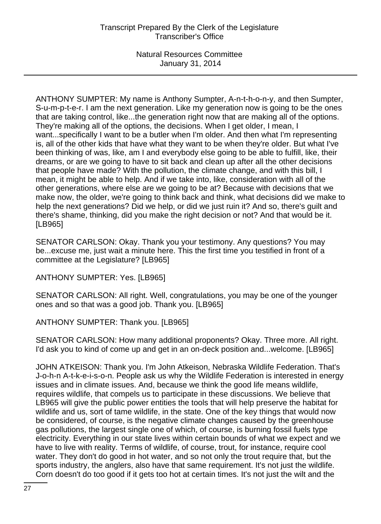ANTHONY SUMPTER: My name is Anthony Sumpter, A-n-t-h-o-n-y, and then Sumpter, S-u-m-p-t-e-r. I am the next generation. Like my generation now is going to be the ones that are taking control, like...the generation right now that are making all of the options. They're making all of the options, the decisions. When I get older, I mean, I want...specifically I want to be a butler when I'm older. And then what I'm representing is, all of the other kids that have what they want to be when they're older. But what I've been thinking of was, like, am I and everybody else going to be able to fulfill, like, their dreams, or are we going to have to sit back and clean up after all the other decisions that people have made? With the pollution, the climate change, and with this bill, I mean, it might be able to help. And if we take into, like, consideration with all of the other generations, where else are we going to be at? Because with decisions that we make now, the older, we're going to think back and think, what decisions did we make to help the next generations? Did we help, or did we just ruin it? And so, there's guilt and there's shame, thinking, did you make the right decision or not? And that would be it. [LB965]

SENATOR CARLSON: Okay. Thank you your testimony. Any questions? You may be...excuse me, just wait a minute here. This the first time you testified in front of a committee at the Legislature? [LB965]

ANTHONY SUMPTER: Yes. [LB965]

SENATOR CARLSON: All right. Well, congratulations, you may be one of the younger ones and so that was a good job. Thank you. [LB965]

#### ANTHONY SUMPTER: Thank you. [LB965]

SENATOR CARLSON: How many additional proponents? Okay. Three more. All right. I'd ask you to kind of come up and get in an on-deck position and...welcome. [LB965]

JOHN ATKEISON: Thank you. I'm John Atkeison, Nebraska Wildlife Federation. That's J-o-h-n A-t-k-e-i-s-o-n. People ask us why the Wildlife Federation is interested in energy issues and in climate issues. And, because we think the good life means wildlife, requires wildlife, that compels us to participate in these discussions. We believe that LB965 will give the public power entities the tools that will help preserve the habitat for wildlife and us, sort of tame wildlife, in the state. One of the key things that would now be considered, of course, is the negative climate changes caused by the greenhouse gas pollutions, the largest single one of which, of course, is burning fossil fuels type electricity. Everything in our state lives within certain bounds of what we expect and we have to live with reality. Terms of wildlife, of course, trout, for instance, require cool water. They don't do good in hot water, and so not only the trout require that, but the sports industry, the anglers, also have that same requirement. It's not just the wildlife. Corn doesn't do too good if it gets too hot at certain times. It's not just the wilt and the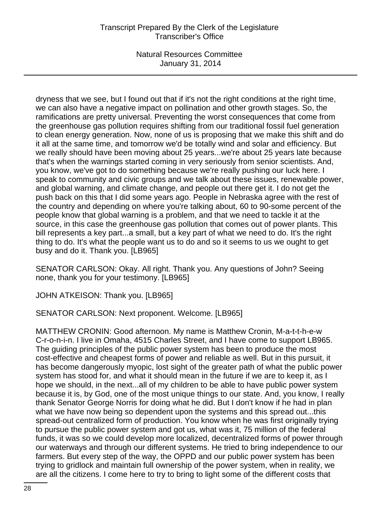dryness that we see, but I found out that if it's not the right conditions at the right time, we can also have a negative impact on pollination and other growth stages. So, the ramifications are pretty universal. Preventing the worst consequences that come from the greenhouse gas pollution requires shifting from our traditional fossil fuel generation to clean energy generation. Now, none of us is proposing that we make this shift and do it all at the same time, and tomorrow we'd be totally wind and solar and efficiency. But we really should have been moving about 25 years...we're about 25 years late because that's when the warnings started coming in very seriously from senior scientists. And, you know, we've got to do something because we're really pushing our luck here. I speak to community and civic groups and we talk about these issues, renewable power, and global warning, and climate change, and people out there get it. I do not get the push back on this that I did some years ago. People in Nebraska agree with the rest of the country and depending on where you're talking about, 60 to 90-some percent of the people know that global warning is a problem, and that we need to tackle it at the source, in this case the greenhouse gas pollution that comes out of power plants. This bill represents a key part...a small, but a key part of what we need to do. It's the right thing to do. It's what the people want us to do and so it seems to us we ought to get busy and do it. Thank you. [LB965]

SENATOR CARLSON: Okay. All right. Thank you. Any questions of John? Seeing none, thank you for your testimony. [LB965]

JOHN ATKEISON: Thank you. [LB965]

SENATOR CARLSON: Next proponent. Welcome. [LB965]

MATTHEW CRONIN: Good afternoon. My name is Matthew Cronin, M-a-t-t-h-e-w C-r-o-n-i-n. I live in Omaha, 4515 Charles Street, and I have come to support LB965. The guiding principles of the public power system has been to produce the most cost-effective and cheapest forms of power and reliable as well. But in this pursuit, it has become dangerously myopic, lost sight of the greater path of what the public power system has stood for, and what it should mean in the future if we are to keep it, as I hope we should, in the next...all of my children to be able to have public power system because it is, by God, one of the most unique things to our state. And, you know, I really thank Senator George Norris for doing what he did. But I don't know if he had in plan what we have now being so dependent upon the systems and this spread out...this spread-out centralized form of production. You know when he was first originally trying to pursue the public power system and got us, what was it, 75 million of the federal funds, it was so we could develop more localized, decentralized forms of power through our waterways and through our different systems. He tried to bring independence to our farmers. But every step of the way, the OPPD and our public power system has been trying to gridlock and maintain full ownership of the power system, when in reality, we are all the citizens. I come here to try to bring to light some of the different costs that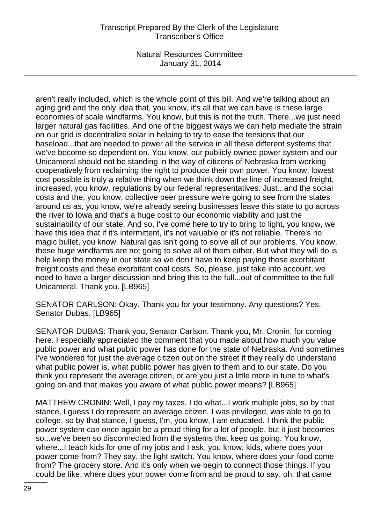# Transcript Prepared By the Clerk of the Legislature Transcriber's Office

Natural Resources Committee January 31, 2014

aren't really included, which is the whole point of this bill. And we're talking about an aging grid and the only idea that, you know, it's all that we can have is these large economies of scale windfarms. You know, but this is not the truth. There...we just need larger natural gas facilities. And one of the biggest ways we can help mediate the strain on our grid is decentralize solar in helping to try to ease the tensions that our baseload...that are needed to power all the service in all these different systems that we've become so dependent on. You know, our publicly owned power system and our Unicameral should not be standing in the way of citizens of Nebraska from working cooperatively from reclaiming the right to produce their own power. You know, lowest cost possible is truly a relative thing when we think down the line of increased freight, increased, you know, regulations by our federal representatives. Just...and the social costs and the, you know, collective peer pressure we're going to see from the states around us as, you know, we're already seeing businesses leave this state to go across the river to Iowa and that's a huge cost to our economic viability and just the sustainability of our state. And so, I've come here to try to bring to light, you know, we have this idea that if it's intermittent, it's not valuable or it's not reliable. There's no magic bullet, you know. Natural gas isn't going to solve all of our problems. You know, these huge windfarms are not going to solve all of them either. But what they will do is help keep the money in our state so we don't have to keep paying these exorbitant freight costs and these exorbitant coal costs. So, please, just take into account, we need to have a larger discussion and bring this to the full...out of committee to the full Unicameral. Thank you. [LB965]

SENATOR CARLSON: Okay. Thank you for your testimony. Any questions? Yes, Senator Dubas. [LB965]

SENATOR DUBAS: Thank you, Senator Carlson. Thank you, Mr. Cronin, for coming here. I especially appreciated the comment that you made about how much you value public power and what public power has done for the state of Nebraska. And sometimes I've wondered for just the average citizen out on the street if they really do understand what public power is, what public power has given to them and to our state. Do you think you represent the average citizen, or are you just a little more in tune to what's going on and that makes you aware of what public power means? [LB965]

MATTHEW CRONIN: Well, I pay my taxes. I do what...I work multiple jobs, so by that stance, I guess I do represent an average citizen. I was privileged, was able to go to college, so by that stance, I guess, I'm, you know, I am educated. I think the public power system can once again be a proud thing for a lot of people, but it just becomes so...we've been so disconnected from the systems that keep us going. You know, where...I teach kids for one of my jobs and I ask, you know, kids, where does your power come from? They say, the light switch. You know, where does your food come from? The grocery store. And it's only when we begin to connect those things. If you could be like, where does your power come from and be proud to say, oh, that came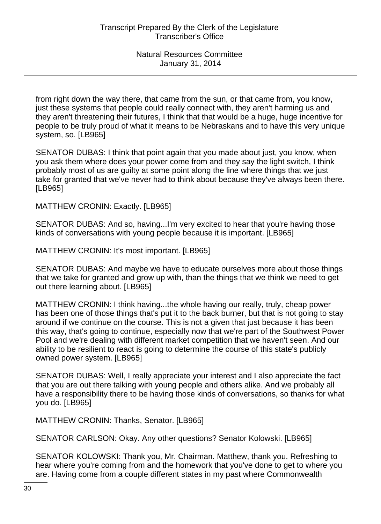from right down the way there, that came from the sun, or that came from, you know, just these systems that people could really connect with, they aren't harming us and they aren't threatening their futures, I think that that would be a huge, huge incentive for people to be truly proud of what it means to be Nebraskans and to have this very unique system, so. [LB965]

SENATOR DUBAS: I think that point again that you made about just, you know, when you ask them where does your power come from and they say the light switch, I think probably most of us are guilty at some point along the line where things that we just take for granted that we've never had to think about because they've always been there. [LB965]

MATTHEW CRONIN: Exactly. [LB965]

SENATOR DUBAS: And so, having...I'm very excited to hear that you're having those kinds of conversations with young people because it is important. [LB965]

MATTHEW CRONIN: It's most important. [LB965]

SENATOR DUBAS: And maybe we have to educate ourselves more about those things that we take for granted and grow up with, than the things that we think we need to get out there learning about. [LB965]

MATTHEW CRONIN: I think having...the whole having our really, truly, cheap power has been one of those things that's put it to the back burner, but that is not going to stay around if we continue on the course. This is not a given that just because it has been this way, that's going to continue, especially now that we're part of the Southwest Power Pool and we're dealing with different market competition that we haven't seen. And our ability to be resilient to react is going to determine the course of this state's publicly owned power system. [LB965]

SENATOR DUBAS: Well, I really appreciate your interest and I also appreciate the fact that you are out there talking with young people and others alike. And we probably all have a responsibility there to be having those kinds of conversations, so thanks for what you do. [LB965]

MATTHEW CRONIN: Thanks, Senator. [LB965]

SENATOR CARLSON: Okay. Any other questions? Senator Kolowski. [LB965]

SENATOR KOLOWSKI: Thank you, Mr. Chairman. Matthew, thank you. Refreshing to hear where you're coming from and the homework that you've done to get to where you are. Having come from a couple different states in my past where Commonwealth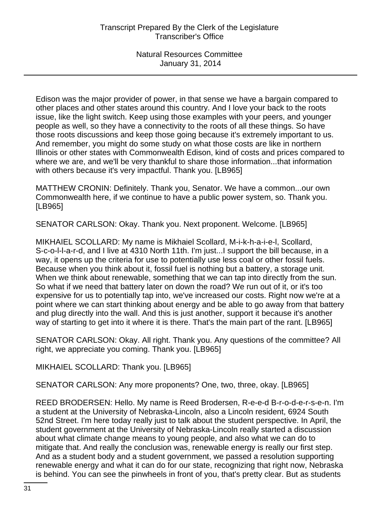Edison was the major provider of power, in that sense we have a bargain compared to other places and other states around this country. And I love your back to the roots issue, like the light switch. Keep using those examples with your peers, and younger people as well, so they have a connectivity to the roots of all these things. So have those roots discussions and keep those going because it's extremely important to us. And remember, you might do some study on what those costs are like in northern Illinois or other states with Commonwealth Edison, kind of costs and prices compared to where we are, and we'll be very thankful to share those information...that information with others because it's very impactful. Thank you. [LB965]

MATTHEW CRONIN: Definitely. Thank you, Senator. We have a common...our own Commonwealth here, if we continue to have a public power system, so. Thank you. [LB965]

SENATOR CARLSON: Okay. Thank you. Next proponent. Welcome. [LB965]

MIKHAIEL SCOLLARD: My name is Mikhaiel Scollard, M-i-k-h-a-i-e-l, Scollard, S-c-o-l-l-a-r-d, and I live at 4310 North 11th. I'm just...I support the bill because, in a way, it opens up the criteria for use to potentially use less coal or other fossil fuels. Because when you think about it, fossil fuel is nothing but a battery, a storage unit. When we think about renewable, something that we can tap into directly from the sun. So what if we need that battery later on down the road? We run out of it, or it's too expensive for us to potentially tap into, we've increased our costs. Right now we're at a point where we can start thinking about energy and be able to go away from that battery and plug directly into the wall. And this is just another, support it because it's another way of starting to get into it where it is there. That's the main part of the rant. [LB965]

SENATOR CARLSON: Okay. All right. Thank you. Any questions of the committee? All right, we appreciate you coming. Thank you. [LB965]

MIKHAIEL SCOLLARD: Thank you. [LB965]

SENATOR CARLSON: Any more proponents? One, two, three, okay. [LB965]

REED BRODERSEN: Hello. My name is Reed Brodersen, R-e-e-d B-r-o-d-e-r-s-e-n. I'm a student at the University of Nebraska-Lincoln, also a Lincoln resident, 6924 South 52nd Street. I'm here today really just to talk about the student perspective. In April, the student government at the University of Nebraska-Lincoln really started a discussion about what climate change means to young people, and also what we can do to mitigate that. And really the conclusion was, renewable energy is really our first step. And as a student body and a student government, we passed a resolution supporting renewable energy and what it can do for our state, recognizing that right now, Nebraska is behind. You can see the pinwheels in front of you, that's pretty clear. But as students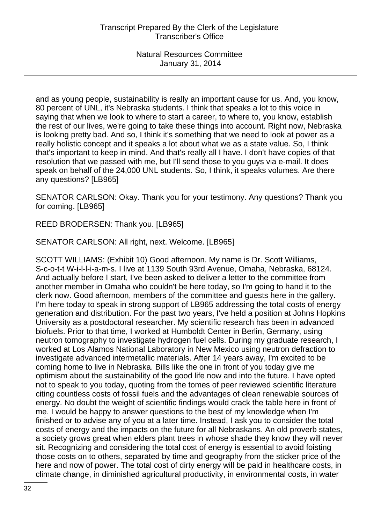and as young people, sustainability is really an important cause for us. And, you know, 80 percent of UNL, it's Nebraska students. I think that speaks a lot to this voice in saying that when we look to where to start a career, to where to, you know, establish the rest of our lives, we're going to take these things into account. Right now, Nebraska is looking pretty bad. And so, I think it's something that we need to look at power as a really holistic concept and it speaks a lot about what we as a state value. So, I think that's important to keep in mind. And that's really all I have. I don't have copies of that resolution that we passed with me, but I'll send those to you guys via e-mail. It does speak on behalf of the 24,000 UNL students. So, I think, it speaks volumes. Are there any questions? [LB965]

SENATOR CARLSON: Okay. Thank you for your testimony. Any questions? Thank you for coming. [LB965]

REED BRODERSEN: Thank you. [LB965]

SENATOR CARLSON: All right, next. Welcome. [LB965]

SCOTT WILLIAMS: (Exhibit 10) Good afternoon. My name is Dr. Scott Williams, S-c-o-t-t W-i-l-l-i-a-m-s. I live at 1139 South 93rd Avenue, Omaha, Nebraska, 68124. And actually before I start, I've been asked to deliver a letter to the committee from another member in Omaha who couldn't be here today, so I'm going to hand it to the clerk now. Good afternoon, members of the committee and guests here in the gallery. I'm here today to speak in strong support of LB965 addressing the total costs of energy generation and distribution. For the past two years, I've held a position at Johns Hopkins University as a postdoctoral researcher. My scientific research has been in advanced biofuels. Prior to that time, I worked at Humboldt Center in Berlin, Germany, using neutron tomography to investigate hydrogen fuel cells. During my graduate research, I worked at Los Alamos National Laboratory in New Mexico using neutron defraction to investigate advanced intermetallic materials. After 14 years away, I'm excited to be coming home to live in Nebraska. Bills like the one in front of you today give me optimism about the sustainability of the good life now and into the future. I have opted not to speak to you today, quoting from the tomes of peer reviewed scientific literature citing countless costs of fossil fuels and the advantages of clean renewable sources of energy. No doubt the weight of scientific findings would crack the table here in front of me. I would be happy to answer questions to the best of my knowledge when I'm finished or to advise any of you at a later time. Instead, I ask you to consider the total costs of energy and the impacts on the future for all Nebraskans. An old proverb states, a society grows great when elders plant trees in whose shade they know they will never sit. Recognizing and considering the total cost of energy is essential to avoid foisting those costs on to others, separated by time and geography from the sticker price of the here and now of power. The total cost of dirty energy will be paid in healthcare costs, in climate change, in diminished agricultural productivity, in environmental costs, in water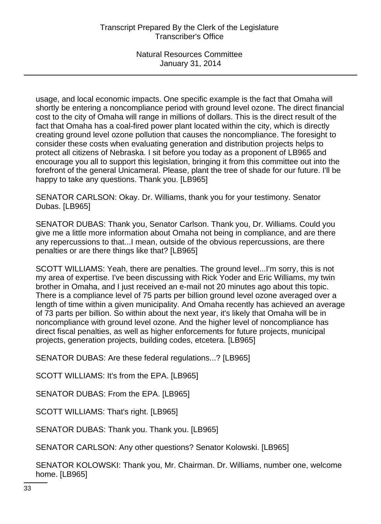usage, and local economic impacts. One specific example is the fact that Omaha will shortly be entering a noncompliance period with ground level ozone. The direct financial cost to the city of Omaha will range in millions of dollars. This is the direct result of the fact that Omaha has a coal-fired power plant located within the city, which is directly creating ground level ozone pollution that causes the noncompliance. The foresight to consider these costs when evaluating generation and distribution projects helps to protect all citizens of Nebraska. I sit before you today as a proponent of LB965 and encourage you all to support this legislation, bringing it from this committee out into the forefront of the general Unicameral. Please, plant the tree of shade for our future. I'll be happy to take any questions. Thank you. [LB965]

SENATOR CARLSON: Okay. Dr. Williams, thank you for your testimony. Senator Dubas. [LB965]

SENATOR DUBAS: Thank you, Senator Carlson. Thank you, Dr. Williams. Could you give me a little more information about Omaha not being in compliance, and are there any repercussions to that...I mean, outside of the obvious repercussions, are there penalties or are there things like that? [LB965]

SCOTT WILLIAMS: Yeah, there are penalties. The ground level...I'm sorry, this is not my area of expertise. I've been discussing with Rick Yoder and Eric Williams, my twin brother in Omaha, and I just received an e-mail not 20 minutes ago about this topic. There is a compliance level of 75 parts per billion ground level ozone averaged over a length of time within a given municipality. And Omaha recently has achieved an average of 73 parts per billion. So within about the next year, it's likely that Omaha will be in noncompliance with ground level ozone. And the higher level of noncompliance has direct fiscal penalties, as well as higher enforcements for future projects, municipal projects, generation projects, building codes, etcetera. [LB965]

SENATOR DUBAS: Are these federal regulations...? [LB965]

SCOTT WILLIAMS: It's from the EPA. [LB965]

SENATOR DUBAS: From the EPA. [LB965]

SCOTT WILLIAMS: That's right. [LB965]

SENATOR DUBAS: Thank you. Thank you. [LB965]

SENATOR CARLSON: Any other questions? Senator Kolowski. [LB965]

SENATOR KOLOWSKI: Thank you, Mr. Chairman. Dr. Williams, number one, welcome home. [LB965]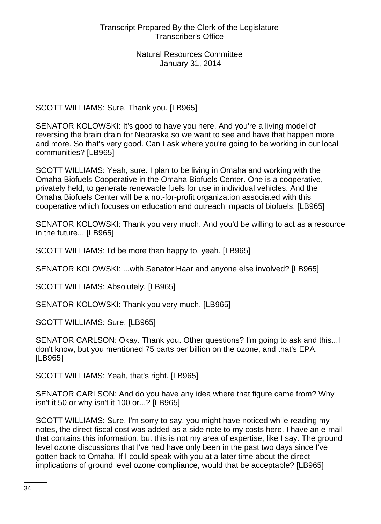SCOTT WILLIAMS: Sure. Thank you. [LB965]

SENATOR KOLOWSKI: It's good to have you here. And you're a living model of reversing the brain drain for Nebraska so we want to see and have that happen more and more. So that's very good. Can I ask where you're going to be working in our local communities? [LB965]

SCOTT WILLIAMS: Yeah, sure. I plan to be living in Omaha and working with the Omaha Biofuels Cooperative in the Omaha Biofuels Center. One is a cooperative, privately held, to generate renewable fuels for use in individual vehicles. And the Omaha Biofuels Center will be a not-for-profit organization associated with this cooperative which focuses on education and outreach impacts of biofuels. [LB965]

SENATOR KOLOWSKI: Thank you very much. And you'd be willing to act as a resource in the future... [LB965]

SCOTT WILLIAMS: I'd be more than happy to, yeah. [LB965]

SENATOR KOLOWSKI: ...with Senator Haar and anyone else involved? [LB965]

SCOTT WILLIAMS: Absolutely. [LB965]

SENATOR KOLOWSKI: Thank you very much. [LB965]

SCOTT WILLIAMS: Sure. [LB965]

SENATOR CARLSON: Okay. Thank you. Other questions? I'm going to ask and this...I don't know, but you mentioned 75 parts per billion on the ozone, and that's EPA. [LB965]

SCOTT WILLIAMS: Yeah, that's right. [LB965]

SENATOR CARLSON: And do you have any idea where that figure came from? Why isn't it 50 or why isn't it 100 or...? [LB965]

SCOTT WILLIAMS: Sure. I'm sorry to say, you might have noticed while reading my notes, the direct fiscal cost was added as a side note to my costs here. I have an e-mail that contains this information, but this is not my area of expertise, like I say. The ground level ozone discussions that I've had have only been in the past two days since I've gotten back to Omaha. If I could speak with you at a later time about the direct implications of ground level ozone compliance, would that be acceptable? [LB965]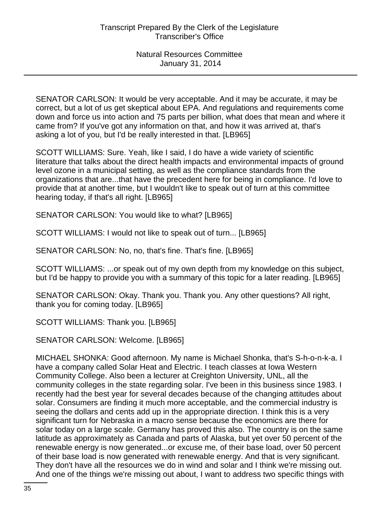SENATOR CARLSON: It would be very acceptable. And it may be accurate, it may be correct, but a lot of us get skeptical about EPA. And regulations and requirements come down and force us into action and 75 parts per billion, what does that mean and where it came from? If you've got any information on that, and how it was arrived at, that's asking a lot of you, but I'd be really interested in that. [LB965]

SCOTT WILLIAMS: Sure. Yeah, like I said, I do have a wide variety of scientific literature that talks about the direct health impacts and environmental impacts of ground level ozone in a municipal setting, as well as the compliance standards from the organizations that are...that have the precedent here for being in compliance. I'd love to provide that at another time, but I wouldn't like to speak out of turn at this committee hearing today, if that's all right. [LB965]

SENATOR CARLSON: You would like to what? [LB965]

SCOTT WILLIAMS: I would not like to speak out of turn... [LB965]

SENATOR CARLSON: No, no, that's fine. That's fine. [LB965]

SCOTT WILLIAMS: ...or speak out of my own depth from my knowledge on this subject, but I'd be happy to provide you with a summary of this topic for a later reading. [LB965]

SENATOR CARLSON: Okay. Thank you. Thank you. Any other questions? All right, thank you for coming today. [LB965]

SCOTT WILLIAMS: Thank you. [LB965]

SENATOR CARLSON: Welcome. [LB965]

MICHAEL SHONKA: Good afternoon. My name is Michael Shonka, that's S-h-o-n-k-a. I have a company called Solar Heat and Electric. I teach classes at Iowa Western Community College. Also been a lecturer at Creighton University, UNL, all the community colleges in the state regarding solar. I've been in this business since 1983. I recently had the best year for several decades because of the changing attitudes about solar. Consumers are finding it much more acceptable, and the commercial industry is seeing the dollars and cents add up in the appropriate direction. I think this is a very significant turn for Nebraska in a macro sense because the economics are there for solar today on a large scale. Germany has proved this also. The country is on the same latitude as approximately as Canada and parts of Alaska, but yet over 50 percent of the renewable energy is now generated...or excuse me, of their base load, over 50 percent of their base load is now generated with renewable energy. And that is very significant. They don't have all the resources we do in wind and solar and I think we're missing out. And one of the things we're missing out about, I want to address two specific things with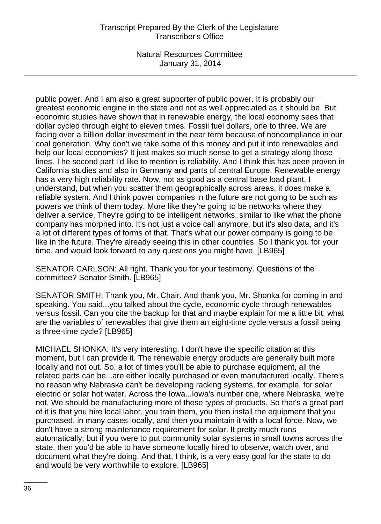# Transcript Prepared By the Clerk of the Legislature Transcriber's Office

Natural Resources Committee January 31, 2014

public power. And I am also a great supporter of public power. It is probably our greatest economic engine in the state and not as well appreciated as it should be. But economic studies have shown that in renewable energy, the local economy sees that dollar cycled through eight to eleven times. Fossil fuel dollars, one to three. We are facing over a billion dollar investment in the near term because of noncompliance in our coal generation. Why don't we take some of this money and put it into renewables and help our local economies? It just makes so much sense to get a strategy along those lines. The second part I'd like to mention is reliability. And I think this has been proven in California studies and also in Germany and parts of central Europe. Renewable energy has a very high reliability rate. Now, not as good as a central base load plant, I understand, but when you scatter them geographically across areas, it does make a reliable system. And I think power companies in the future are not going to be such as powers we think of them today. More like they're going to be networks where they deliver a service. They're going to be intelligent networks, similar to like what the phone company has morphed into. It's not just a voice call anymore, but it's also data, and it's a lot of different types of forms of that. That's what our power company is going to be like in the future. They're already seeing this in other countries. So I thank you for your time, and would look forward to any questions you might have. [LB965]

SENATOR CARLSON: All right. Thank you for your testimony. Questions of the committee? Senator Smith. [LB965]

SENATOR SMITH: Thank you, Mr. Chair. And thank you, Mr. Shonka for coming in and speaking. You said...you talked about the cycle, economic cycle through renewables versus fossil. Can you cite the backup for that and maybe explain for me a little bit, what are the variables of renewables that give them an eight-time cycle versus a fossil being a three-time cycle? [LB965]

MICHAEL SHONKA: It's very interesting. I don't have the specific citation at this moment, but I can provide it. The renewable energy products are generally built more locally and not out. So, a lot of times you'll be able to purchase equipment, all the related parts can be...are either locally purchased or even manufactured locally. There's no reason why Nebraska can't be developing racking systems, for example, for solar electric or solar hot water. Across the Iowa...Iowa's number one, where Nebraska, we're not. We should be manufacturing more of these types of products. So that's a great part of it is that you hire local labor, you train them, you then install the equipment that you purchased, in many cases locally, and then you maintain it with a local force. Now, we don't have a strong maintenance requirement for solar. It pretty much runs automatically, but if you were to put community solar systems in small towns across the state, then you'd be able to have someone locally hired to observe, watch over, and document what they're doing. And that, I think, is a very easy goal for the state to do and would be very worthwhile to explore. [LB965]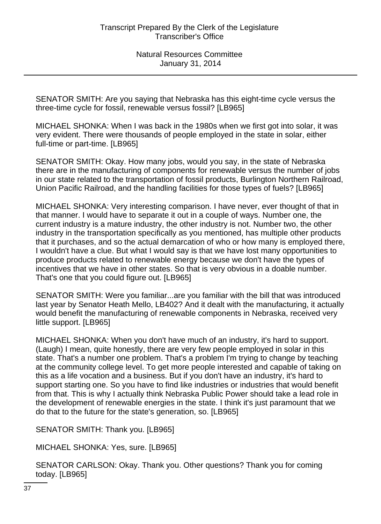SENATOR SMITH: Are you saying that Nebraska has this eight-time cycle versus the three-time cycle for fossil, renewable versus fossil? [LB965]

MICHAEL SHONKA: When I was back in the 1980s when we first got into solar, it was very evident. There were thousands of people employed in the state in solar, either full-time or part-time. [LB965]

SENATOR SMITH: Okay. How many jobs, would you say, in the state of Nebraska there are in the manufacturing of components for renewable versus the number of jobs in our state related to the transportation of fossil products, Burlington Northern Railroad, Union Pacific Railroad, and the handling facilities for those types of fuels? [LB965]

MICHAEL SHONKA: Very interesting comparison. I have never, ever thought of that in that manner. I would have to separate it out in a couple of ways. Number one, the current industry is a mature industry, the other industry is not. Number two, the other industry in the transportation specifically as you mentioned, has multiple other products that it purchases, and so the actual demarcation of who or how many is employed there, I wouldn't have a clue. But what I would say is that we have lost many opportunities to produce products related to renewable energy because we don't have the types of incentives that we have in other states. So that is very obvious in a doable number. That's one that you could figure out. [LB965]

SENATOR SMITH: Were you familiar...are you familiar with the bill that was introduced last year by Senator Heath Mello, LB402? And it dealt with the manufacturing, it actually would benefit the manufacturing of renewable components in Nebraska, received very little support. [LB965]

MICHAEL SHONKA: When you don't have much of an industry, it's hard to support. (Laugh) I mean, quite honestly, there are very few people employed in solar in this state. That's a number one problem. That's a problem I'm trying to change by teaching at the community college level. To get more people interested and capable of taking on this as a life vocation and a business. But if you don't have an industry, it's hard to support starting one. So you have to find like industries or industries that would benefit from that. This is why I actually think Nebraska Public Power should take a lead role in the development of renewable energies in the state. I think it's just paramount that we do that to the future for the state's generation, so. [LB965]

SENATOR SMITH: Thank you. [LB965]

MICHAEL SHONKA: Yes, sure. [LB965]

SENATOR CARLSON: Okay. Thank you. Other questions? Thank you for coming today. [LB965]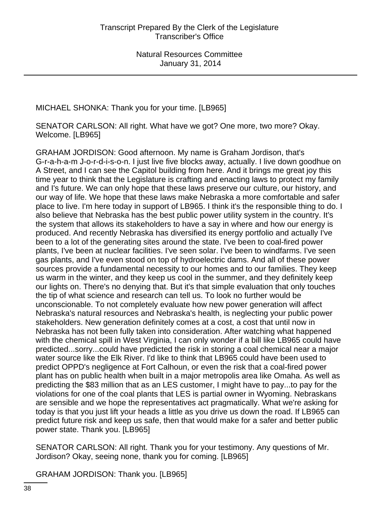MICHAEL SHONKA: Thank you for your time. [LB965]

SENATOR CARLSON: All right. What have we got? One more, two more? Okay. Welcome. [LB965]

GRAHAM JORDISON: Good afternoon. My name is Graham Jordison, that's G-r-a-h-a-m J-o-r-d-i-s-o-n. I just live five blocks away, actually. I live down goodhue on A Street, and I can see the Capitol building from here. And it brings me great joy this time year to think that the Legislature is crafting and enacting laws to protect my family and I's future. We can only hope that these laws preserve our culture, our history, and our way of life. We hope that these laws make Nebraska a more comfortable and safer place to live. I'm here today in support of LB965. I think it's the responsible thing to do. I also believe that Nebraska has the best public power utility system in the country. It's the system that allows its stakeholders to have a say in where and how our energy is produced. And recently Nebraska has diversified its energy portfolio and actually I've been to a lot of the generating sites around the state. I've been to coal-fired power plants, I've been at nuclear facilities. I've seen solar. I've been to windfarms. I've seen gas plants, and I've even stood on top of hydroelectric dams. And all of these power sources provide a fundamental necessity to our homes and to our families. They keep us warm in the winter, and they keep us cool in the summer, and they definitely keep our lights on. There's no denying that. But it's that simple evaluation that only touches the tip of what science and research can tell us. To look no further would be unconscionable. To not completely evaluate how new power generation will affect Nebraska's natural resources and Nebraska's health, is neglecting your public power stakeholders. New generation definitely comes at a cost, a cost that until now in Nebraska has not been fully taken into consideration. After watching what happened with the chemical spill in West Virginia, I can only wonder if a bill like LB965 could have predicted...sorry...could have predicted the risk in storing a coal chemical near a major water source like the Elk River. I'd like to think that LB965 could have been used to predict OPPD's negligence at Fort Calhoun, or even the risk that a coal-fired power plant has on public health when built in a major metropolis area like Omaha. As well as predicting the \$83 million that as an LES customer, I might have to pay...to pay for the violations for one of the coal plants that LES is partial owner in Wyoming. Nebraskans are sensible and we hope the representatives act pragmatically. What we're asking for today is that you just lift your heads a little as you drive us down the road. If LB965 can predict future risk and keep us safe, then that would make for a safer and better public power state. Thank you. [LB965]

SENATOR CARLSON: All right. Thank you for your testimony. Any questions of Mr. Jordison? Okay, seeing none, thank you for coming. [LB965]

GRAHAM JORDISON: Thank you. [LB965]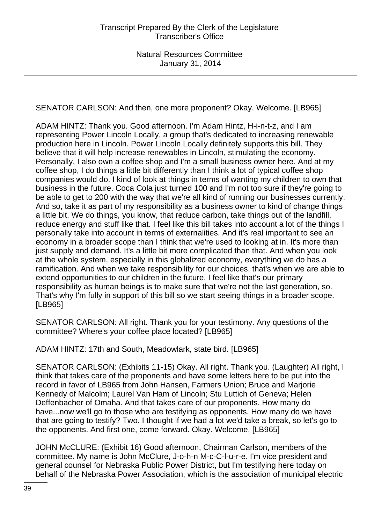SENATOR CARLSON: And then, one more proponent? Okay. Welcome. [LB965]

ADAM HINTZ: Thank you. Good afternoon. I'm Adam Hintz, H-i-n-t-z, and I am representing Power Lincoln Locally, a group that's dedicated to increasing renewable production here in Lincoln. Power Lincoln Locally definitely supports this bill. They believe that it will help increase renewables in Lincoln, stimulating the economy. Personally, I also own a coffee shop and I'm a small business owner here. And at my coffee shop, I do things a little bit differently than I think a lot of typical coffee shop companies would do. I kind of look at things in terms of wanting my children to own that business in the future. Coca Cola just turned 100 and I'm not too sure if they're going to be able to get to 200 with the way that we're all kind of running our businesses currently. And so, take it as part of my responsibility as a business owner to kind of change things a little bit. We do things, you know, that reduce carbon, take things out of the landfill, reduce energy and stuff like that. I feel like this bill takes into account a lot of the things I personally take into account in terms of externalities. And it's real important to see an economy in a broader scope than I think that we're used to looking at in. It's more than just supply and demand. It's a little bit more complicated than that. And when you look at the whole system, especially in this globalized economy, everything we do has a ramification. And when we take responsibility for our choices, that's when we are able to extend opportunities to our children in the future. I feel like that's our primary responsibility as human beings is to make sure that we're not the last generation, so. That's why I'm fully in support of this bill so we start seeing things in a broader scope. [LB965]

SENATOR CARLSON: All right. Thank you for your testimony. Any questions of the committee? Where's your coffee place located? [LB965]

ADAM HINTZ: 17th and South, Meadowlark, state bird. [LB965]

SENATOR CARLSON: (Exhibits 11-15) Okay. All right. Thank you. (Laughter) All right, I think that takes care of the proponents and have some letters here to be put into the record in favor of LB965 from John Hansen, Farmers Union; Bruce and Marjorie Kennedy of Malcolm; Laurel Van Ham of Lincoln; Stu Luttich of Geneva; Helen Deffenbacher of Omaha. And that takes care of our proponents. How many do have...now we'll go to those who are testifying as opponents. How many do we have that are going to testify? Two. I thought if we had a lot we'd take a break, so let's go to the opponents. And first one, come forward. Okay. Welcome. [LB965]

JOHN McCLURE: (Exhibit 16) Good afternoon, Chairman Carlson, members of the committee. My name is John McClure, J-o-h-n M-c-C-l-u-r-e. I'm vice president and general counsel for Nebraska Public Power District, but I'm testifying here today on behalf of the Nebraska Power Association, which is the association of municipal electric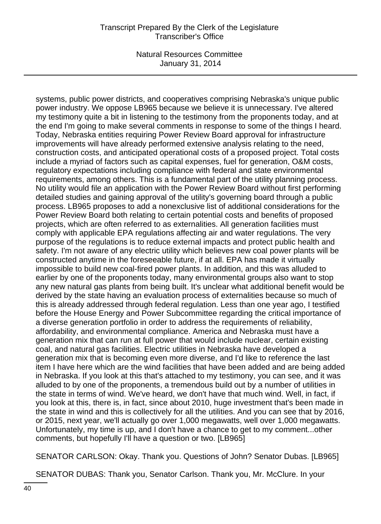## Transcript Prepared By the Clerk of the Legislature Transcriber's Office

Natural Resources Committee January 31, 2014

systems, public power districts, and cooperatives comprising Nebraska's unique public power industry. We oppose LB965 because we believe it is unnecessary. I've altered my testimony quite a bit in listening to the testimony from the proponents today, and at the end I'm going to make several comments in response to some of the things I heard. Today, Nebraska entities requiring Power Review Board approval for infrastructure improvements will have already performed extensive analysis relating to the need, construction costs, and anticipated operational costs of a proposed project. Total costs include a myriad of factors such as capital expenses, fuel for generation, O&M costs, regulatory expectations including compliance with federal and state environmental requirements, among others. This is a fundamental part of the utility planning process. No utility would file an application with the Power Review Board without first performing detailed studies and gaining approval of the utility's governing board through a public process. LB965 proposes to add a nonexclusive list of additional considerations for the Power Review Board both relating to certain potential costs and benefits of proposed projects, which are often referred to as externalities. All generation facilities must comply with applicable EPA regulations affecting air and water regulations. The very purpose of the regulations is to reduce external impacts and protect public health and safety. I'm not aware of any electric utility which believes new coal power plants will be constructed anytime in the foreseeable future, if at all. EPA has made it virtually impossible to build new coal-fired power plants. In addition, and this was alluded to earlier by one of the proponents today, many environmental groups also want to stop any new natural gas plants from being built. It's unclear what additional benefit would be derived by the state having an evaluation process of externalities because so much of this is already addressed through federal regulation. Less than one year ago, I testified before the House Energy and Power Subcommittee regarding the critical importance of a diverse generation portfolio in order to address the requirements of reliability, affordability, and environmental compliance. America and Nebraska must have a generation mix that can run at full power that would include nuclear, certain existing coal, and natural gas facilities. Electric utilities in Nebraska have developed a generation mix that is becoming even more diverse, and I'd like to reference the last item I have here which are the wind facilities that have been added and are being added in Nebraska. If you look at this that's attached to my testimony, you can see, and it was alluded to by one of the proponents, a tremendous build out by a number of utilities in the state in terms of wind. We've heard, we don't have that much wind. Well, in fact, if you look at this, there is, in fact, since about 2010, huge investment that's been made in the state in wind and this is collectively for all the utilities. And you can see that by 2016, or 2015, next year, we'll actually go over 1,000 megawatts, well over 1,000 megawatts. Unfortunately, my time is up, and I don't have a chance to get to my comment...other comments, but hopefully I'll have a question or two. [LB965]

SENATOR CARLSON: Okay. Thank you. Questions of John? Senator Dubas. [LB965]

SENATOR DUBAS: Thank you, Senator Carlson. Thank you, Mr. McClure. In your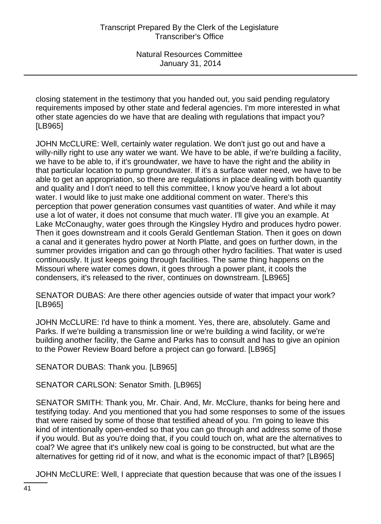closing statement in the testimony that you handed out, you said pending regulatory requirements imposed by other state and federal agencies. I'm more interested in what other state agencies do we have that are dealing with regulations that impact you? [LB965]

JOHN McCLURE: Well, certainly water regulation. We don't just go out and have a willy-nilly right to use any water we want. We have to be able, if we're building a facility, we have to be able to, if it's groundwater, we have to have the right and the ability in that particular location to pump groundwater. If it's a surface water need, we have to be able to get an appropriation, so there are regulations in place dealing with both quantity and quality and I don't need to tell this committee, I know you've heard a lot about water. I would like to just make one additional comment on water. There's this perception that power generation consumes vast quantities of water. And while it may use a lot of water, it does not consume that much water. I'll give you an example. At Lake McConaughy, water goes through the Kingsley Hydro and produces hydro power. Then it goes downstream and it cools Gerald Gentleman Station. Then it goes on down a canal and it generates hydro power at North Platte, and goes on further down, in the summer provides irrigation and can go through other hydro facilities. That water is used continuously. It just keeps going through facilities. The same thing happens on the Missouri where water comes down, it goes through a power plant, it cools the condensers, it's released to the river, continues on downstream. [LB965]

SENATOR DUBAS: Are there other agencies outside of water that impact your work? [LB965]

JOHN McCLURE: I'd have to think a moment. Yes, there are, absolutely. Game and Parks. If we're building a transmission line or we're building a wind facility, or we're building another facility, the Game and Parks has to consult and has to give an opinion to the Power Review Board before a project can go forward. [LB965]

SENATOR DUBAS: Thank you. [LB965]

SENATOR CARLSON: Senator Smith. [LB965]

SENATOR SMITH: Thank you, Mr. Chair. And, Mr. McClure, thanks for being here and testifying today. And you mentioned that you had some responses to some of the issues that were raised by some of those that testified ahead of you. I'm going to leave this kind of intentionally open-ended so that you can go through and address some of those if you would. But as you're doing that, if you could touch on, what are the alternatives to coal? We agree that it's unlikely new coal is going to be constructed, but what are the alternatives for getting rid of it now, and what is the economic impact of that? [LB965]

JOHN McCLURE: Well, I appreciate that question because that was one of the issues I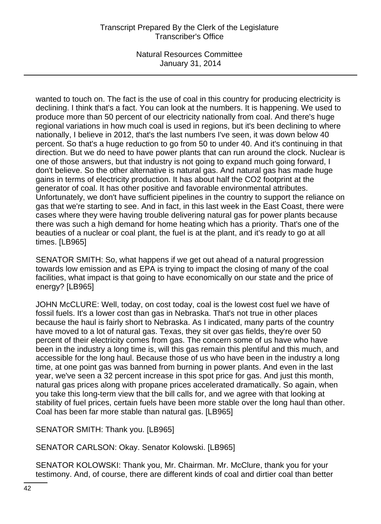wanted to touch on. The fact is the use of coal in this country for producing electricity is declining. I think that's a fact. You can look at the numbers. It is happening. We used to produce more than 50 percent of our electricity nationally from coal. And there's huge regional variations in how much coal is used in regions, but it's been declining to where nationally, I believe in 2012, that's the last numbers I've seen, it was down below 40 percent. So that's a huge reduction to go from 50 to under 40. And it's continuing in that direction. But we do need to have power plants that can run around the clock. Nuclear is one of those answers, but that industry is not going to expand much going forward, I don't believe. So the other alternative is natural gas. And natural gas has made huge gains in terms of electricity production. It has about half the CO2 footprint at the generator of coal. It has other positive and favorable environmental attributes. Unfortunately, we don't have sufficient pipelines in the country to support the reliance on gas that we're starting to see. And in fact, in this last week in the East Coast, there were cases where they were having trouble delivering natural gas for power plants because there was such a high demand for home heating which has a priority. That's one of the beauties of a nuclear or coal plant, the fuel is at the plant, and it's ready to go at all times. [LB965]

SENATOR SMITH: So, what happens if we get out ahead of a natural progression towards low emission and as EPA is trying to impact the closing of many of the coal facilities, what impact is that going to have economically on our state and the price of energy? [LB965]

JOHN McCLURE: Well, today, on cost today, coal is the lowest cost fuel we have of fossil fuels. It's a lower cost than gas in Nebraska. That's not true in other places because the haul is fairly short to Nebraska. As I indicated, many parts of the country have moved to a lot of natural gas. Texas, they sit over gas fields, they're over 50 percent of their electricity comes from gas. The concern some of us have who have been in the industry a long time is, will this gas remain this plentiful and this much, and accessible for the long haul. Because those of us who have been in the industry a long time, at one point gas was banned from burning in power plants. And even in the last year, we've seen a 32 percent increase in this spot price for gas. And just this month, natural gas prices along with propane prices accelerated dramatically. So again, when you take this long-term view that the bill calls for, and we agree with that looking at stability of fuel prices, certain fuels have been more stable over the long haul than other. Coal has been far more stable than natural gas. [LB965]

SENATOR SMITH: Thank you. [LB965]

SENATOR CARLSON: Okay. Senator Kolowski. [LB965]

SENATOR KOLOWSKI: Thank you, Mr. Chairman. Mr. McClure, thank you for your testimony. And, of course, there are different kinds of coal and dirtier coal than better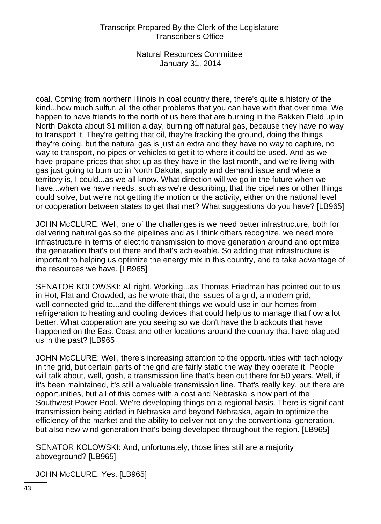# Transcript Prepared By the Clerk of the Legislature Transcriber's Office

Natural Resources Committee January 31, 2014

coal. Coming from northern Illinois in coal country there, there's quite a history of the kind...how much sulfur, all the other problems that you can have with that over time. We happen to have friends to the north of us here that are burning in the Bakken Field up in North Dakota about \$1 million a day, burning off natural gas, because they have no way to transport it. They're getting that oil, they're fracking the ground, doing the things they're doing, but the natural gas is just an extra and they have no way to capture, no way to transport, no pipes or vehicles to get it to where it could be used. And as we have propane prices that shot up as they have in the last month, and we're living with gas just going to burn up in North Dakota, supply and demand issue and where a territory is, I could...as we all know. What direction will we go in the future when we have...when we have needs, such as we're describing, that the pipelines or other things could solve, but we're not getting the motion or the activity, either on the national level or cooperation between states to get that met? What suggestions do you have? [LB965]

JOHN McCLURE: Well, one of the challenges is we need better infrastructure, both for delivering natural gas so the pipelines and as I think others recognize, we need more infrastructure in terms of electric transmission to move generation around and optimize the generation that's out there and that's achievable. So adding that infrastructure is important to helping us optimize the energy mix in this country, and to take advantage of the resources we have. [LB965]

SENATOR KOLOWSKI: All right. Working...as Thomas Friedman has pointed out to us in Hot, Flat and Crowded, as he wrote that, the issues of a grid, a modern grid, well-connected grid to...and the different things we would use in our homes from refrigeration to heating and cooling devices that could help us to manage that flow a lot better. What cooperation are you seeing so we don't have the blackouts that have happened on the East Coast and other locations around the country that have plagued us in the past? [LB965]

JOHN McCLURE: Well, there's increasing attention to the opportunities with technology in the grid, but certain parts of the grid are fairly static the way they operate it. People will talk about, well, gosh, a transmission line that's been out there for 50 years. Well, if it's been maintained, it's still a valuable transmission line. That's really key, but there are opportunities, but all of this comes with a cost and Nebraska is now part of the Southwest Power Pool. We're developing things on a regional basis. There is significant transmission being added in Nebraska and beyond Nebraska, again to optimize the efficiency of the market and the ability to deliver not only the conventional generation, but also new wind generation that's being developed throughout the region. [LB965]

SENATOR KOLOWSKI: And, unfortunately, those lines still are a majority aboveground? [LB965]

JOHN McCLURE: Yes. [LB965]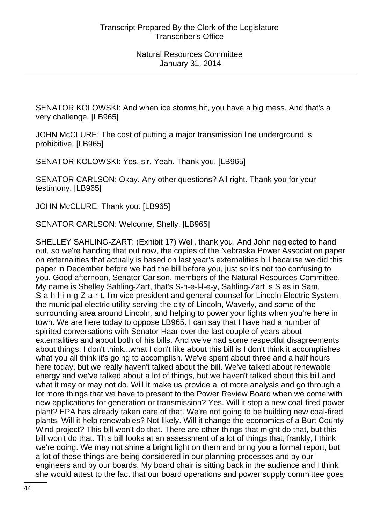SENATOR KOLOWSKI: And when ice storms hit, you have a big mess. And that's a very challenge. [LB965]

JOHN McCLURE: The cost of putting a major transmission line underground is prohibitive. [LB965]

SENATOR KOLOWSKI: Yes, sir. Yeah. Thank you. [LB965]

SENATOR CARLSON: Okay. Any other questions? All right. Thank you for your testimony. [LB965]

JOHN McCLURE: Thank you. [LB965]

SENATOR CARLSON: Welcome, Shelly. [LB965]

SHELLEY SAHLING-ZART: (Exhibit 17) Well, thank you. And John neglected to hand out, so we're handing that out now, the copies of the Nebraska Power Association paper on externalities that actually is based on last year's externalities bill because we did this paper in December before we had the bill before you, just so it's not too confusing to you. Good afternoon, Senator Carlson, members of the Natural Resources Committee. My name is Shelley Sahling-Zart, that's S-h-e-l-l-e-y, Sahling-Zart is S as in Sam, S-a-h-l-i-n-g-Z-a-r-t. I'm vice president and general counsel for Lincoln Electric System, the municipal electric utility serving the city of Lincoln, Waverly, and some of the surrounding area around Lincoln, and helping to power your lights when you're here in town. We are here today to oppose LB965. I can say that I have had a number of spirited conversations with Senator Haar over the last couple of years about externalities and about both of his bills. And we've had some respectful disagreements about things. I don't think...what I don't like about this bill is I don't think it accomplishes what you all think it's going to accomplish. We've spent about three and a half hours here today, but we really haven't talked about the bill. We've talked about renewable energy and we've talked about a lot of things, but we haven't talked about this bill and what it may or may not do. Will it make us provide a lot more analysis and go through a lot more things that we have to present to the Power Review Board when we come with new applications for generation or transmission? Yes. Will it stop a new coal-fired power plant? EPA has already taken care of that. We're not going to be building new coal-fired plants. Will it help renewables? Not likely. Will it change the economics of a Burt County Wind project? This bill won't do that. There are other things that might do that, but this bill won't do that. This bill looks at an assessment of a lot of things that, frankly, I think we're doing. We may not shine a bright light on them and bring you a formal report, but a lot of these things are being considered in our planning processes and by our engineers and by our boards. My board chair is sitting back in the audience and I think she would attest to the fact that our board operations and power supply committee goes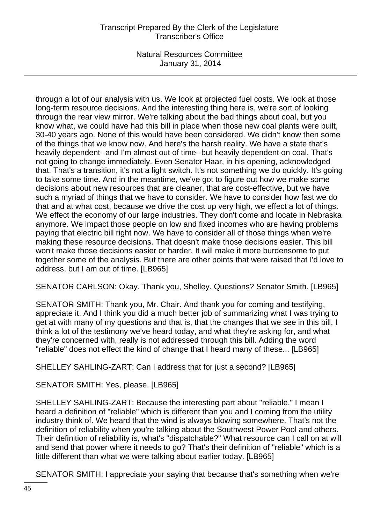# Transcript Prepared By the Clerk of the Legislature Transcriber's Office

Natural Resources Committee January 31, 2014

through a lot of our analysis with us. We look at projected fuel costs. We look at those long-term resource decisions. And the interesting thing here is, we're sort of looking through the rear view mirror. We're talking about the bad things about coal, but you know what, we could have had this bill in place when those new coal plants were built, 30-40 years ago. None of this would have been considered. We didn't know then some of the things that we know now. And here's the harsh reality. We have a state that's heavily dependent--and I'm almost out of time--but heavily dependent on coal. That's not going to change immediately. Even Senator Haar, in his opening, acknowledged that. That's a transition, it's not a light switch. It's not something we do quickly. It's going to take some time. And in the meantime, we've got to figure out how we make some decisions about new resources that are cleaner, that are cost-effective, but we have such a myriad of things that we have to consider. We have to consider how fast we do that and at what cost, because we drive the cost up very high, we effect a lot of things. We effect the economy of our large industries. They don't come and locate in Nebraska anymore. We impact those people on low and fixed incomes who are having problems paying that electric bill right now. We have to consider all of those things when we're making these resource decisions. That doesn't make those decisions easier. This bill won't make those decisions easier or harder. It will make it more burdensome to put together some of the analysis. But there are other points that were raised that I'd love to address, but I am out of time. [LB965]

SENATOR CARLSON: Okay. Thank you, Shelley. Questions? Senator Smith. [LB965]

SENATOR SMITH: Thank you, Mr. Chair. And thank you for coming and testifying, appreciate it. And I think you did a much better job of summarizing what I was trying to get at with many of my questions and that is, that the changes that we see in this bill, I think a lot of the testimony we've heard today, and what they're asking for, and what they're concerned with, really is not addressed through this bill. Adding the word "reliable" does not effect the kind of change that I heard many of these... [LB965]

SHELLEY SAHLING-ZART: Can I address that for just a second? [LB965]

SENATOR SMITH: Yes, please. [LB965]

SHELLEY SAHLING-ZART: Because the interesting part about "reliable," I mean I heard a definition of "reliable" which is different than you and I coming from the utility industry think of. We heard that the wind is always blowing somewhere. That's not the definition of reliability when you're talking about the Southwest Power Pool and others. Their definition of reliability is, what's "dispatchable?" What resource can I call on at will and send that power where it needs to go? That's their definition of "reliable" which is a little different than what we were talking about earlier today. [LB965]

SENATOR SMITH: I appreciate your saying that because that's something when we're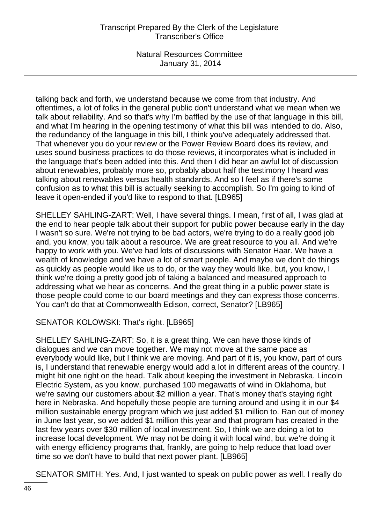# Transcript Prepared By the Clerk of the Legislature Transcriber's Office

Natural Resources Committee January 31, 2014

talking back and forth, we understand because we come from that industry. And oftentimes, a lot of folks in the general public don't understand what we mean when we talk about reliability. And so that's why I'm baffled by the use of that language in this bill, and what I'm hearing in the opening testimony of what this bill was intended to do. Also, the redundancy of the language in this bill, I think you've adequately addressed that. That whenever you do your review or the Power Review Board does its review, and uses sound business practices to do those reviews, it incorporates what is included in the language that's been added into this. And then I did hear an awful lot of discussion about renewables, probably more so, probably about half the testimony I heard was talking about renewables versus health standards. And so I feel as if there's some confusion as to what this bill is actually seeking to accomplish. So I'm going to kind of leave it open-ended if you'd like to respond to that. [LB965]

SHELLEY SAHLING-ZART: Well, I have several things. I mean, first of all, I was glad at the end to hear people talk about their support for public power because early in the day I wasn't so sure. We're not trying to be bad actors, we're trying to do a really good job and, you know, you talk about a resource. We are great resource to you all. And we're happy to work with you. We've had lots of discussions with Senator Haar. We have a wealth of knowledge and we have a lot of smart people. And maybe we don't do things as quickly as people would like us to do, or the way they would like, but, you know, I think we're doing a pretty good job of taking a balanced and measured approach to addressing what we hear as concerns. And the great thing in a public power state is those people could come to our board meetings and they can express those concerns. You can't do that at Commonwealth Edison, correct, Senator? [LB965]

SENATOR KOLOWSKI: That's right. [LB965]

SHELLEY SAHLING-ZART: So, it is a great thing. We can have those kinds of dialogues and we can move together. We may not move at the same pace as everybody would like, but I think we are moving. And part of it is, you know, part of ours is, I understand that renewable energy would add a lot in different areas of the country. I might hit one right on the head. Talk about keeping the investment in Nebraska. Lincoln Electric System, as you know, purchased 100 megawatts of wind in Oklahoma, but we're saving our customers about \$2 million a year. That's money that's staying right here in Nebraska. And hopefully those people are turning around and using it in our \$4 million sustainable energy program which we just added \$1 million to. Ran out of money in June last year, so we added \$1 million this year and that program has created in the last few years over \$30 million of local investment. So, I think we are doing a lot to increase local development. We may not be doing it with local wind, but we're doing it with energy efficiency programs that, frankly, are going to help reduce that load over time so we don't have to build that next power plant. [LB965]

SENATOR SMITH: Yes. And, I just wanted to speak on public power as well. I really do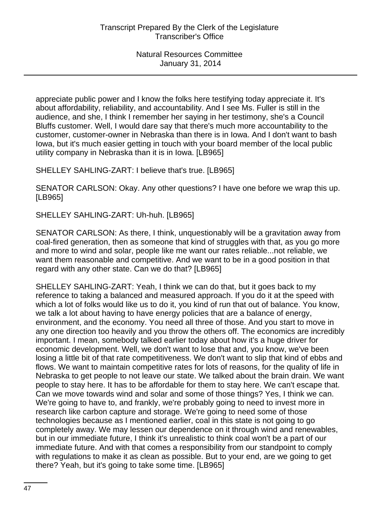appreciate public power and I know the folks here testifying today appreciate it. It's about affordability, reliability, and accountability. And I see Ms. Fuller is still in the audience, and she, I think I remember her saying in her testimony, she's a Council Bluffs customer. Well, I would dare say that there's much more accountability to the customer, customer-owner in Nebraska than there is in Iowa. And I don't want to bash Iowa, but it's much easier getting in touch with your board member of the local public utility company in Nebraska than it is in Iowa. [LB965]

SHELLEY SAHLING-ZART: I believe that's true. [LB965]

SENATOR CARLSON: Okay. Any other questions? I have one before we wrap this up. [LB965]

SHELLEY SAHLING-ZART: Uh-huh. [LB965]

SENATOR CARLSON: As there, I think, unquestionably will be a gravitation away from coal-fired generation, then as someone that kind of struggles with that, as you go more and more to wind and solar, people like me want our rates reliable...not reliable, we want them reasonable and competitive. And we want to be in a good position in that regard with any other state. Can we do that? [LB965]

SHELLEY SAHLING-ZART: Yeah, I think we can do that, but it goes back to my reference to taking a balanced and measured approach. If you do it at the speed with which a lot of folks would like us to do it, you kind of run that out of balance. You know, we talk a lot about having to have energy policies that are a balance of energy, environment, and the economy. You need all three of those. And you start to move in any one direction too heavily and you throw the others off. The economics are incredibly important. I mean, somebody talked earlier today about how it's a huge driver for economic development. Well, we don't want to lose that and, you know, we've been losing a little bit of that rate competitiveness. We don't want to slip that kind of ebbs and flows. We want to maintain competitive rates for lots of reasons, for the quality of life in Nebraska to get people to not leave our state. We talked about the brain drain. We want people to stay here. It has to be affordable for them to stay here. We can't escape that. Can we move towards wind and solar and some of those things? Yes, I think we can. We're going to have to, and frankly, we're probably going to need to invest more in research like carbon capture and storage. We're going to need some of those technologies because as I mentioned earlier, coal in this state is not going to go completely away. We may lessen our dependence on it through wind and renewables, but in our immediate future, I think it's unrealistic to think coal won't be a part of our immediate future. And with that comes a responsibility from our standpoint to comply with regulations to make it as clean as possible. But to your end, are we going to get there? Yeah, but it's going to take some time. [LB965]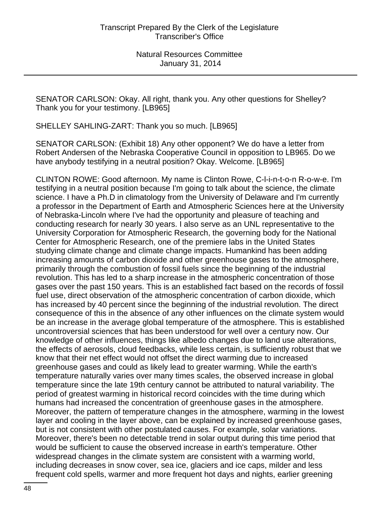SENATOR CARLSON: Okay. All right, thank you. Any other questions for Shelley? Thank you for your testimony. [LB965]

SHELLEY SAHLING-ZART: Thank you so much. [LB965]

SENATOR CARLSON: (Exhibit 18) Any other opponent? We do have a letter from Robert Andersen of the Nebraska Cooperative Council in opposition to LB965. Do we have anybody testifying in a neutral position? Okay. Welcome. [LB965]

CLINTON ROWE: Good afternoon. My name is Clinton Rowe, C-l-i-n-t-o-n R-o-w-e. I'm testifying in a neutral position because I'm going to talk about the science, the climate science. I have a Ph.D in climatology from the University of Delaware and I'm currently a professor in the Department of Earth and Atmospheric Sciences here at the University of Nebraska-Lincoln where I've had the opportunity and pleasure of teaching and conducting research for nearly 30 years. I also serve as an UNL representative to the University Corporation for Atmospheric Research, the governing body for the National Center for Atmospheric Research, one of the premiere labs in the United States studying climate change and climate change impacts. Humankind has been adding increasing amounts of carbon dioxide and other greenhouse gases to the atmosphere, primarily through the combustion of fossil fuels since the beginning of the industrial revolution. This has led to a sharp increase in the atmospheric concentration of those gases over the past 150 years. This is an established fact based on the records of fossil fuel use, direct observation of the atmospheric concentration of carbon dioxide, which has increased by 40 percent since the beginning of the industrial revolution. The direct consequence of this in the absence of any other influences on the climate system would be an increase in the average global temperature of the atmosphere. This is established uncontroversial sciences that has been understood for well over a century now. Our knowledge of other influences, things like albedo changes due to land use alterations, the effects of aerosols, cloud feedbacks, while less certain, is sufficiently robust that we know that their net effect would not offset the direct warming due to increased greenhouse gases and could as likely lead to greater warming. While the earth's temperature naturally varies over many times scales, the observed increase in global temperature since the late 19th century cannot be attributed to natural variability. The period of greatest warming in historical record coincides with the time during which humans had increased the concentration of greenhouse gases in the atmosphere. Moreover, the pattern of temperature changes in the atmosphere, warming in the lowest layer and cooling in the layer above, can be explained by increased greenhouse gases, but is not consistent with other postulated causes. For example, solar variations. Moreover, there's been no detectable trend in solar output during this time period that would be sufficient to cause the observed increase in earth's temperature. Other widespread changes in the climate system are consistent with a warming world, including decreases in snow cover, sea ice, glaciers and ice caps, milder and less frequent cold spells, warmer and more frequent hot days and nights, earlier greening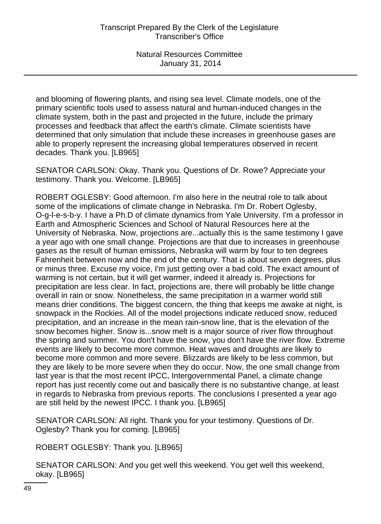and blooming of flowering plants, and rising sea level. Climate models, one of the primary scientific tools used to assess natural and human-induced changes in the climate system, both in the past and projected in the future, include the primary processes and feedback that affect the earth's climate. Climate scientists have determined that only simulation that include these increases in greenhouse gases are able to properly represent the increasing global temperatures observed in recent decades. Thank you. [LB965]

SENATOR CARLSON: Okay. Thank you. Questions of Dr. Rowe? Appreciate your testimony. Thank you. Welcome. [LB965]

ROBERT OGLESBY: Good afternoon. I'm also here in the neutral role to talk about some of the implications of climate change in Nebraska. I'm Dr. Robert Oglesby, O-g-l-e-s-b-y. I have a Ph.D of climate dynamics from Yale University. I'm a professor in Earth and Atmospheric Sciences and School of Natural Resources here at the University of Nebraska. Now, projections are...actually this is the same testimony I gave a year ago with one small change. Projections are that due to increases in greenhouse gases as the result of human emissions, Nebraska will warm by four to ten degrees Fahrenheit between now and the end of the century. That is about seven degrees, plus or minus three. Excuse my voice, I'm just getting over a bad cold. The exact amount of warming is not certain, but it will get warmer, indeed it already is. Projections for precipitation are less clear. In fact, projections are, there will probably be little change overall in rain or snow. Nonetheless, the same precipitation in a warmer world still means drier conditions. The biggest concern, the thing that keeps me awake at night, is snowpack in the Rockies. All of the model projections indicate reduced snow, reduced precipitation, and an increase in the mean rain-snow line, that is the elevation of the snow becomes higher. Snow is...snow melt is a major source of river flow throughout the spring and summer. You don't have the snow, you don't have the river flow. Extreme events are likely to become more common. Heat waves and droughts are likely to become more common and more severe. Blizzards are likely to be less common, but they are likely to be more severe when they do occur. Now, the one small change from last year is that the most recent IPCC, Intergovernmental Panel, a climate change report has just recently come out and basically there is no substantive change, at least in regards to Nebraska from previous reports. The conclusions I presented a year ago are still held by the newest IPCC. I thank you. [LB965]

SENATOR CARLSON: All right. Thank you for your testimony. Questions of Dr. Oglesby? Thank you for coming. [LB965]

ROBERT OGLESBY: Thank you. [LB965]

SENATOR CARLSON: And you get well this weekend. You get well this weekend, okay. [LB965]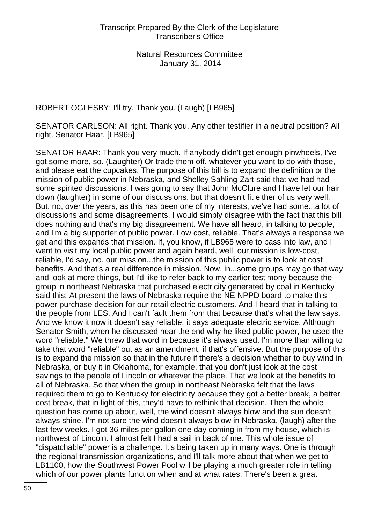ROBERT OGLESBY: I'll try. Thank you. (Laugh) [LB965]

SENATOR CARLSON: All right. Thank you. Any other testifier in a neutral position? All right. Senator Haar. [LB965]

SENATOR HAAR: Thank you very much. If anybody didn't get enough pinwheels, I've got some more, so. (Laughter) Or trade them off, whatever you want to do with those, and please eat the cupcakes. The purpose of this bill is to expand the definition or the mission of public power in Nebraska, and Shelley Sahling-Zart said that we had had some spirited discussions. I was going to say that John McClure and I have let our hair down (laughter) in some of our discussions, but that doesn't fit either of us very well. But, no, over the years, as this has been one of my interests, we've had some...a lot of discussions and some disagreements. I would simply disagree with the fact that this bill does nothing and that's my big disagreement. We have all heard, in talking to people, and I'm a big supporter of public power. Low cost, reliable. That's always a response we get and this expands that mission. If, you know, if LB965 were to pass into law, and I went to visit my local public power and again heard, well, our mission is low-cost, reliable, I'd say, no, our mission...the mission of this public power is to look at cost benefits. And that's a real difference in mission. Now, in...some groups may go that way and look at more things, but I'd like to refer back to my earlier testimony because the group in northeast Nebraska that purchased electricity generated by coal in Kentucky said this: At present the laws of Nebraska require the NE NPPD board to make this power purchase decision for our retail electric customers. And I heard that in talking to the people from LES. And I can't fault them from that because that's what the law says. And we know it now it doesn't say reliable, it says adequate electric service. Although Senator Smith, when he discussed near the end why he liked public power, he used the word "reliable." We threw that word in because it's always used. I'm more than willing to take that word "reliable" out as an amendment, if that's offensive. But the purpose of this is to expand the mission so that in the future if there's a decision whether to buy wind in Nebraska, or buy it in Oklahoma, for example, that you don't just look at the cost savings to the people of Lincoln or whatever the place. That we look at the benefits to all of Nebraska. So that when the group in northeast Nebraska felt that the laws required them to go to Kentucky for electricity because they got a better break, a better cost break, that in light of this, they'd have to rethink that decision. Then the whole question has come up about, well, the wind doesn't always blow and the sun doesn't always shine. I'm not sure the wind doesn't always blow in Nebraska, (laugh) after the last few weeks. I got 36 miles per gallon one day coming in from my house, which is northwest of Lincoln. I almost felt I had a sail in back of me. This whole issue of "dispatchable" power is a challenge. It's being taken up in many ways. One is through the regional transmission organizations, and I'll talk more about that when we get to LB1100, how the Southwest Power Pool will be playing a much greater role in telling which of our power plants function when and at what rates. There's been a great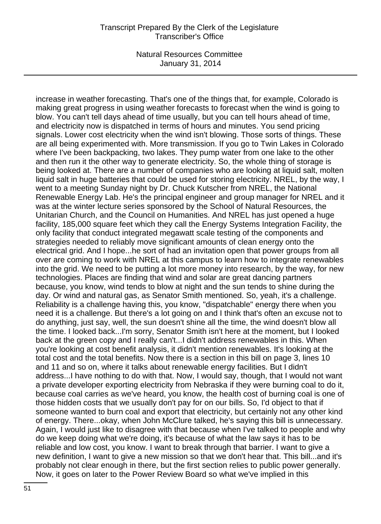increase in weather forecasting. That's one of the things that, for example, Colorado is making great progress in using weather forecasts to forecast when the wind is going to blow. You can't tell days ahead of time usually, but you can tell hours ahead of time, and electricity now is dispatched in terms of hours and minutes. You send pricing signals. Lower cost electricity when the wind isn't blowing. Those sorts of things. These are all being experimented with. More transmission. If you go to Twin Lakes in Colorado where I've been backpacking, two lakes. They pump water from one lake to the other and then run it the other way to generate electricity. So, the whole thing of storage is being looked at. There are a number of companies who are looking at liquid salt, molten liquid salt in huge batteries that could be used for storing electricity. NREL, by the way, I went to a meeting Sunday night by Dr. Chuck Kutscher from NREL, the National Renewable Energy Lab. He's the principal engineer and group manager for NREL and it was at the winter lecture series sponsored by the School of Natural Resources, the Unitarian Church, and the Council on Humanities. And NREL has just opened a huge facility, 185,000 square feet which they call the Energy Systems Integration Facility, the only facility that conduct integrated megawatt scale testing of the components and strategies needed to reliably move significant amounts of clean energy onto the electrical grid. And I hope...he sort of had an invitation open that power groups from all over are coming to work with NREL at this campus to learn how to integrate renewables into the grid. We need to be putting a lot more money into research, by the way, for new technologies. Places are finding that wind and solar are great dancing partners because, you know, wind tends to blow at night and the sun tends to shine during the day. Or wind and natural gas, as Senator Smith mentioned. So, yeah, it's a challenge. Reliability is a challenge having this, you know, "dispatchable" energy there when you need it is a challenge. But there's a lot going on and I think that's often an excuse not to do anything, just say, well, the sun doesn't shine all the time, the wind doesn't blow all the time. I looked back...I'm sorry, Senator Smith isn't here at the moment, but I looked back at the green copy and I really can't...I didn't address renewables in this. When you're looking at cost benefit analysis, it didn't mention renewables. It's looking at the total cost and the total benefits. Now there is a section in this bill on page 3, lines 10 and 11 and so on, where it talks about renewable energy facilities. But I didn't address...I have nothing to do with that. Now, I would say, though, that I would not want a private developer exporting electricity from Nebraska if they were burning coal to do it, because coal carries as we've heard, you know, the health cost of burning coal is one of those hidden costs that we usually don't pay for on our bills. So, I'd object to that if someone wanted to burn coal and export that electricity, but certainly not any other kind of energy. There...okay, when John McClure talked, he's saying this bill is unnecessary. Again, I would just like to disagree with that because when I've talked to people and why do we keep doing what we're doing, it's because of what the law says it has to be reliable and low cost, you know. I want to break through that barrier. I want to give a new definition, I want to give a new mission so that we don't hear that. This bill...and it's probably not clear enough in there, but the first section relies to public power generally. Now, it goes on later to the Power Review Board so what we've implied in this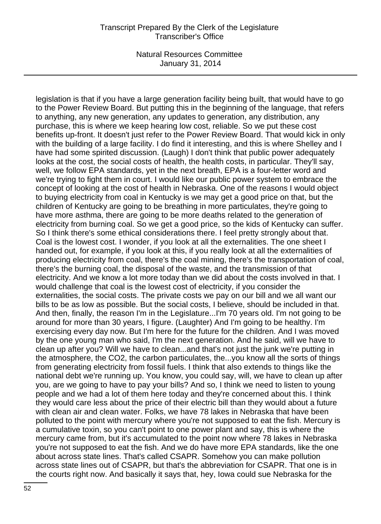legislation is that if you have a large generation facility being built, that would have to go to the Power Review Board. But putting this in the beginning of the language, that refers to anything, any new generation, any updates to generation, any distribution, any purchase, this is where we keep hearing low cost, reliable. So we put these cost benefits up-front. It doesn't just refer to the Power Review Board. That would kick in only with the building of a large facility. I do find it interesting, and this is where Shelley and I have had some spirited discussion. (Laugh) I don't think that public power adequately looks at the cost, the social costs of health, the health costs, in particular. They'll say, well, we follow EPA standards, yet in the next breath, EPA is a four-letter word and we're trying to fight them in court. I would like our public power system to embrace the concept of looking at the cost of health in Nebraska. One of the reasons I would object to buying electricity from coal in Kentucky is we may get a good price on that, but the children of Kentucky are going to be breathing in more particulates, they're going to have more asthma, there are going to be more deaths related to the generation of electricity from burning coal. So we get a good price, so the kids of Kentucky can suffer. So I think there's some ethical considerations there. I feel pretty strongly about that. Coal is the lowest cost. I wonder, if you look at all the externalities. The one sheet I handed out, for example, if you look at this, if you really look at all the externalities of producing electricity from coal, there's the coal mining, there's the transportation of coal, there's the burning coal, the disposal of the waste, and the transmission of that electricity. And we know a lot more today than we did about the costs involved in that. I would challenge that coal is the lowest cost of electricity, if you consider the externalities, the social costs. The private costs we pay on our bill and we all want our bills to be as low as possible. But the social costs, I believe, should be included in that. And then, finally, the reason I'm in the Legislature...I'm 70 years old. I'm not going to be around for more than 30 years, I figure. (Laughter) And I'm going to be healthy. I'm exercising every day now. But I'm here for the future for the children. And I was moved by the one young man who said, I'm the next generation. And he said, will we have to clean up after you? Will we have to clean...and that's not just the junk we're putting in the atmosphere, the CO2, the carbon particulates, the...you know all the sorts of things from generating electricity from fossil fuels. I think that also extends to things like the national debt we're running up. You know, you could say, will, we have to clean up after you, are we going to have to pay your bills? And so, I think we need to listen to young people and we had a lot of them here today and they're concerned about this. I think they would care less about the price of their electric bill than they would about a future with clean air and clean water. Folks, we have 78 lakes in Nebraska that have been polluted to the point with mercury where you're not supposed to eat the fish. Mercury is a cumulative toxin, so you can't point to one power plant and say, this is where the mercury came from, but it's accumulated to the point now where 78 lakes in Nebraska you're not supposed to eat the fish. And we do have more EPA standards, like the one about across state lines. That's called CSAPR. Somehow you can make pollution across state lines out of CSAPR, but that's the abbreviation for CSAPR. That one is in the courts right now. And basically it says that, hey, Iowa could sue Nebraska for the